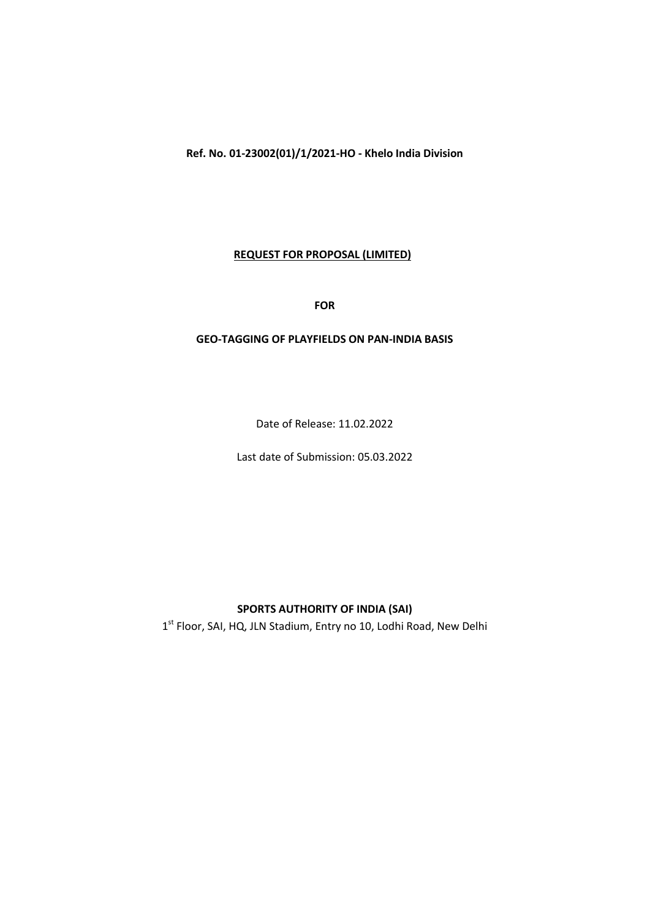Ref. No. 01-23002(01)/1/2021-HO - Khelo India Division

#### REQUEST FOR PROPOSAL (LIMITED)

FOR

#### GEO-TAGGING OF PLAYFIELDS ON PAN-INDIA BASIS

Date of Release: 11.02.2022

Last date of Submission: 05.03.2022

# SPORTS AUTHORITY OF INDIA (SAI)

 $1^{st}$  Floor, SAI, HQ, JLN Stadium, Entry no 10, Lodhi Road, New Delhi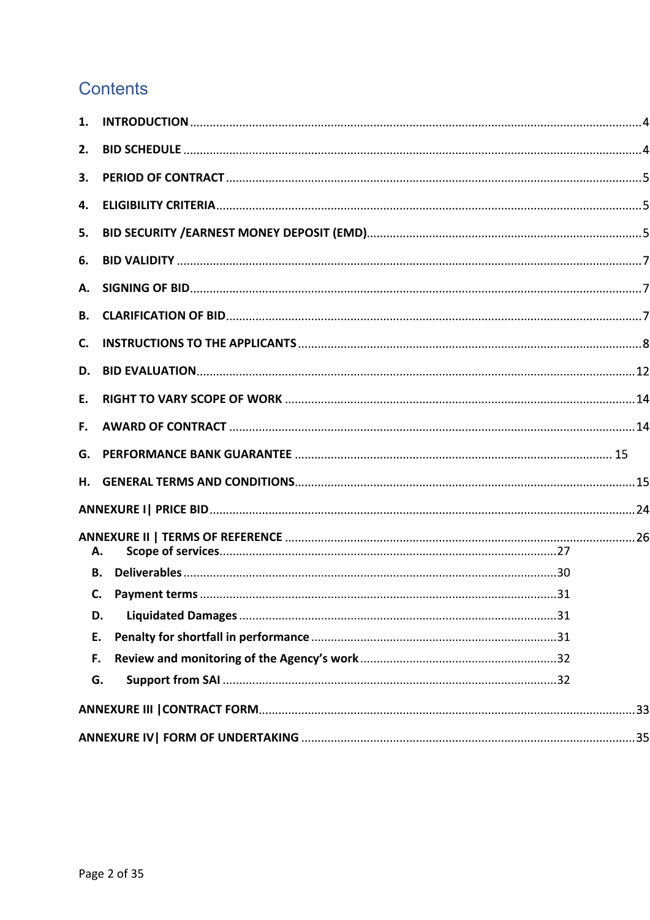# **Contents**

| 1.             |           |  |
|----------------|-----------|--|
| 2.             |           |  |
| 3.             |           |  |
| 4.             |           |  |
| 5.             |           |  |
| 6.             |           |  |
| А.             |           |  |
| В.             |           |  |
| $\mathsf{C}$ . |           |  |
| D.             |           |  |
| E.             |           |  |
| F.,            |           |  |
|                |           |  |
|                |           |  |
|                |           |  |
|                |           |  |
|                | А.        |  |
|                | <b>B.</b> |  |
|                |           |  |
| D.             |           |  |
| E.             |           |  |
| F.             |           |  |
| G.             |           |  |
|                |           |  |
|                |           |  |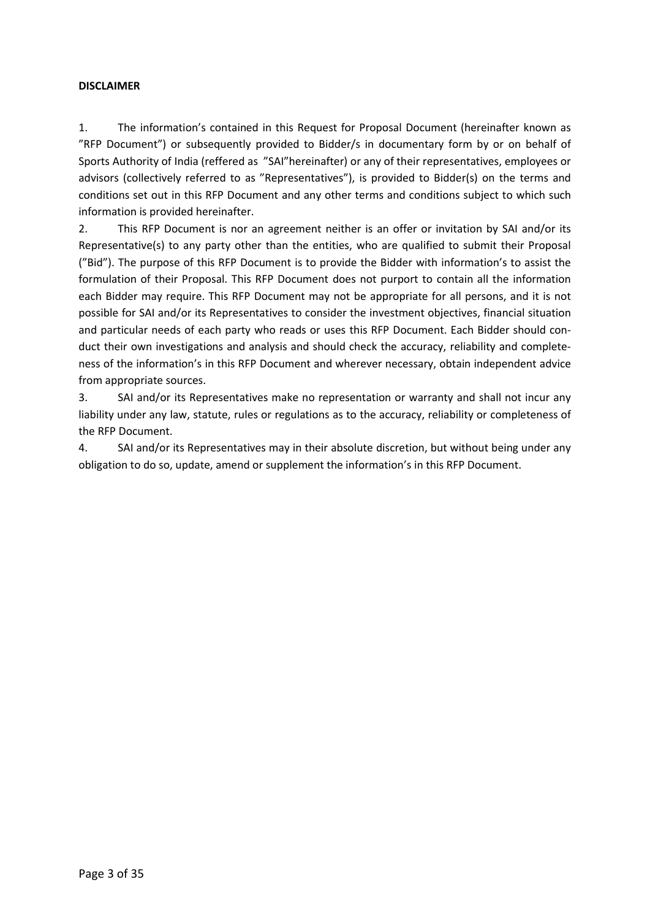#### DISCLAIMER

1. The information's contained in this Request for Proposal Document (hereinafter known as "RFP Document") or subsequently provided to Bidder/s in documentary form by or on behalf of Sports Authority of India (reffered as "SAI"hereinafter) or any of their representatives, employees or advisors (collectively referred to as "Representatives"), is provided to Bidder(s) on the terms and conditions set out in this RFP Document and any other terms and conditions subject to which such information is provided hereinafter.

2. This RFP Document is nor an agreement neither is an offer or invitation by SAI and/or its Representative(s) to any party other than the entities, who are qualified to submit their Proposal ("Bid"). The purpose of this RFP Document is to provide the Bidder with information's to assist the formulation of their Proposal. This RFP Document does not purport to contain all the information each Bidder may require. This RFP Document may not be appropriate for all persons, and it is not possible for SAI and/or its Representatives to consider the investment objectives, financial situation and particular needs of each party who reads or uses this RFP Document. Each Bidder should conduct their own investigations and analysis and should check the accuracy, reliability and completeness of the information's in this RFP Document and wherever necessary, obtain independent advice from appropriate sources.

3. SAI and/or its Representatives make no representation or warranty and shall not incur any liability under any law, statute, rules or regulations as to the accuracy, reliability or completeness of the RFP Document.

4. SAI and/or its Representatives may in their absolute discretion, but without being under any obligation to do so, update, amend or supplement the information's in this RFP Document.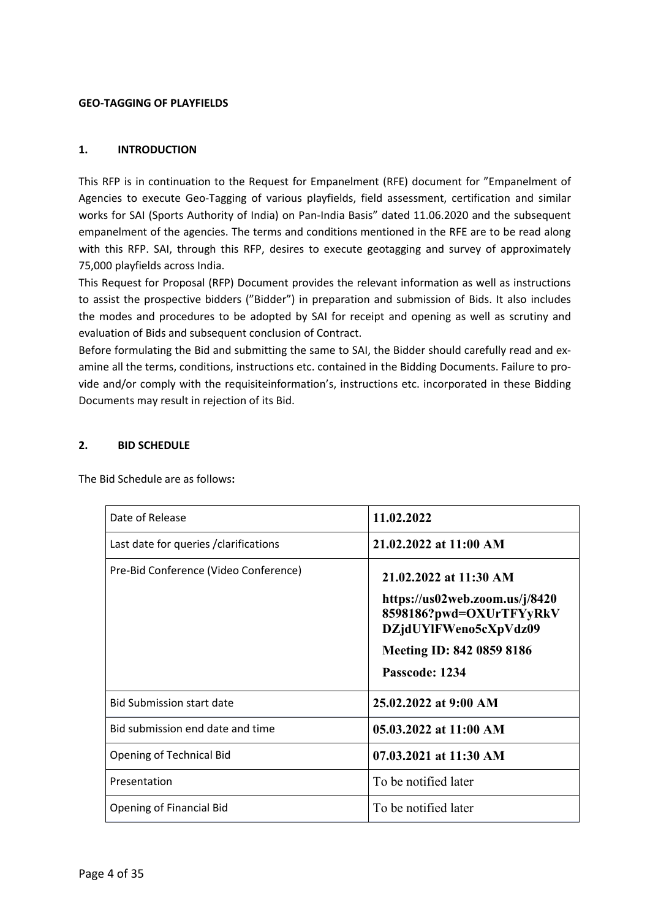#### GEO-TAGGING OF PLAYFIELDS

#### 1. INTRODUCTION

This RFP is in continuation to the Request for Empanelment (RFE) document for "Empanelment of Agencies to execute Geo-Tagging of various playfields, field assessment, certification and similar works for SAI (Sports Authority of India) on Pan-India Basis" dated 11.06.2020 and the subsequent empanelment of the agencies. The terms and conditions mentioned in the RFE are to be read along with this RFP. SAI, through this RFP, desires to execute geotagging and survey of approximately 75,000 playfields across India.

This Request for Proposal (RFP) Document provides the relevant information as well as instructions to assist the prospective bidders ("Bidder") in preparation and submission of Bids. It also includes the modes and procedures to be adopted by SAI for receipt and opening as well as scrutiny and evaluation of Bids and subsequent conclusion of Contract.

Before formulating the Bid and submitting the same to SAI, the Bidder should carefully read and examine all the terms, conditions, instructions etc. contained in the Bidding Documents. Failure to provide and/or comply with the requisiteinformation's, instructions etc. incorporated in these Bidding Documents may result in rejection of its Bid.

#### 2. BID SCHEDULE

| Date of Release                        | 11.02.2022                                                                                                                                                  |
|----------------------------------------|-------------------------------------------------------------------------------------------------------------------------------------------------------------|
| Last date for queries / clarifications | 21.02.2022 at 11:00 AM                                                                                                                                      |
| Pre-Bid Conference (Video Conference)  | 21.02.2022 at 11:30 AM<br>https://us02web.zoom.us/j/8420<br>8598186?pwd=OXUrTFYyRkV<br>DZjdUYlFWeno5cXpVdz09<br>Meeting ID: 842 0859 8186<br>Passcode: 1234 |
| <b>Bid Submission start date</b>       | 25.02.2022 at 9:00 AM                                                                                                                                       |
| Bid submission end date and time       | 05.03.2022 at 11:00 AM                                                                                                                                      |
| Opening of Technical Bid               | 07.03.2021 at 11:30 AM                                                                                                                                      |
| Presentation                           | To be notified later                                                                                                                                        |
| <b>Opening of Financial Bid</b>        | To be notified later                                                                                                                                        |

The Bid Schedule are as follows: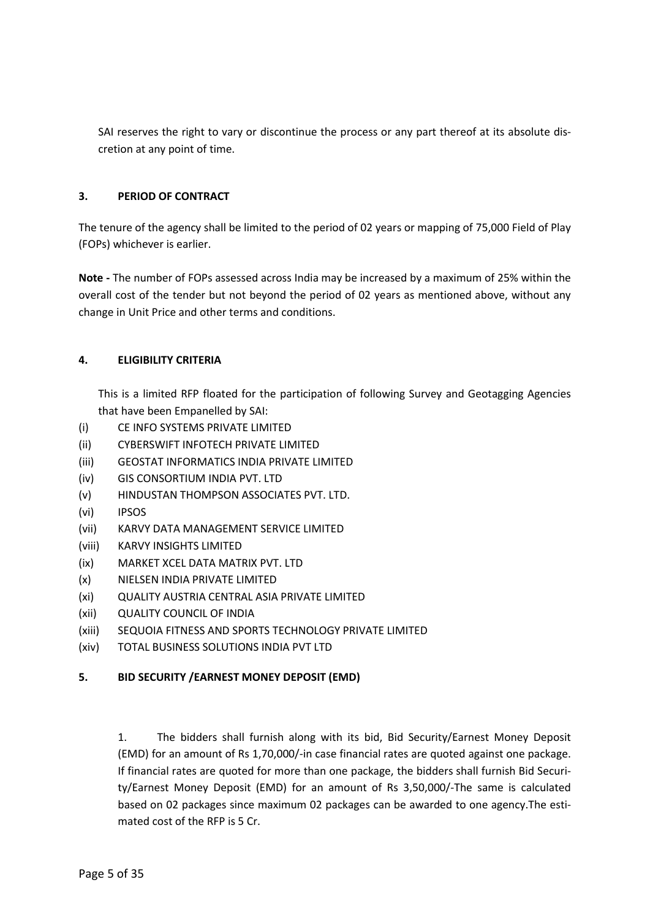SAI reserves the right to vary or discontinue the process or any part thereof at its absolute discretion at any point of time.

#### 3. PERIOD OF CONTRACT

The tenure of the agency shall be limited to the period of 02 years or mapping of 75,000 Field of Play (FOPs) whichever is earlier.

Note - The number of FOPs assessed across India may be increased by a maximum of 25% within the overall cost of the tender but not beyond the period of 02 years as mentioned above, without any change in Unit Price and other terms and conditions.

#### 4. ELIGIBILITY CRITERIA

This is a limited RFP floated for the participation of following Survey and Geotagging Agencies that have been Empanelled by SAI:

- (i) CE INFO SYSTEMS PRIVATE LIMITED
- (ii) CYBERSWIFT INFOTECH PRIVATE LIMITED
- (iii) GEOSTAT INFORMATICS INDIA PRIVATE LIMITED
- (iv) GIS CONSORTIUM INDIA PVT. LTD
- (v) HINDUSTAN THOMPSON ASSOCIATES PVT. LTD.
- (vi) IPSOS
- (vii) KARVY DATA MANAGEMENT SERVICE LIMITED
- (viii) KARVY INSIGHTS LIMITED
- (ix) MARKET XCEL DATA MATRIX PVT. LTD
- (x) NIELSEN INDIA PRIVATE LIMITED
- (xi) QUALITY AUSTRIA CENTRAL ASIA PRIVATE LIMITED
- (xii) QUALITY COUNCIL OF INDIA
- (xiii) SEQUOIA FITNESS AND SPORTS TECHNOLOGY PRIVATE LIMITED
- (xiv) TOTAL BUSINESS SOLUTIONS INDIA PVT LTD

# 5. BID SECURITY /EARNEST MONEY DEPOSIT (EMD)

1. The bidders shall furnish along with its bid, Bid Security/Earnest Money Deposit (EMD) for an amount of Rs 1,70,000/-in case financial rates are quoted against one package. If financial rates are quoted for more than one package, the bidders shall furnish Bid Security/Earnest Money Deposit (EMD) for an amount of Rs 3,50,000/-The same is calculated based on 02 packages since maximum 02 packages can be awarded to one agency.The estimated cost of the RFP is 5 Cr.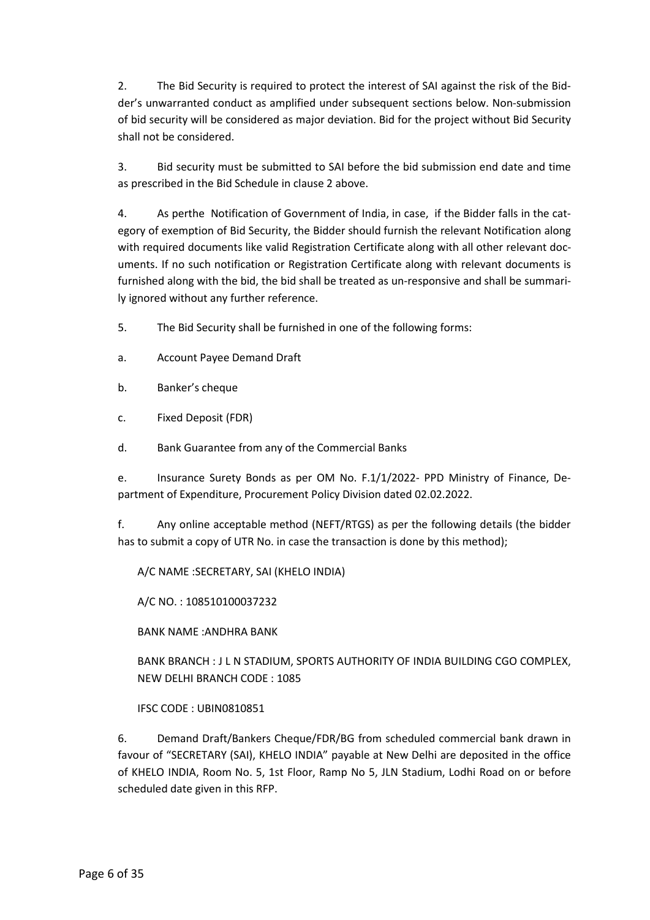2. The Bid Security is required to protect the interest of SAI against the risk of the Bidder's unwarranted conduct as amplified under subsequent sections below. Non-submission of bid security will be considered as major deviation. Bid for the project without Bid Security shall not be considered.

3. Bid security must be submitted to SAI before the bid submission end date and time as prescribed in the Bid Schedule in clause 2 above.

4. As perthe Notification of Government of India, in case, if the Bidder falls in the category of exemption of Bid Security, the Bidder should furnish the relevant Notification along with required documents like valid Registration Certificate along with all other relevant documents. If no such notification or Registration Certificate along with relevant documents is furnished along with the bid, the bid shall be treated as un-responsive and shall be summarily ignored without any further reference.

- 5. The Bid Security shall be furnished in one of the following forms:
- a. Account Payee Demand Draft
- b. Banker's cheque
- c. Fixed Deposit (FDR)
- d. Bank Guarantee from any of the Commercial Banks

e. Insurance Surety Bonds as per OM No. F.1/1/2022- PPD Ministry of Finance, Department of Expenditure, Procurement Policy Division dated 02.02.2022.

f. Any online acceptable method (NEFT/RTGS) as per the following details (the bidder has to submit a copy of UTR No. in case the transaction is done by this method);

A/C NAME :SECRETARY, SAI (KHELO INDIA)

A/C NO. : 108510100037232

BANK NAME :ANDHRA BANK

BANK BRANCH : J L N STADIUM, SPORTS AUTHORITY OF INDIA BUILDING CGO COMPLEX, NEW DELHI BRANCH CODE : 1085

IFSC CODE : UBIN0810851

6. Demand Draft/Bankers Cheque/FDR/BG from scheduled commercial bank drawn in favour of "SECRETARY (SAI), KHELO INDIA" payable at New Delhi are deposited in the office of KHELO INDIA, Room No. 5, 1st Floor, Ramp No 5, JLN Stadium, Lodhi Road on or before scheduled date given in this RFP.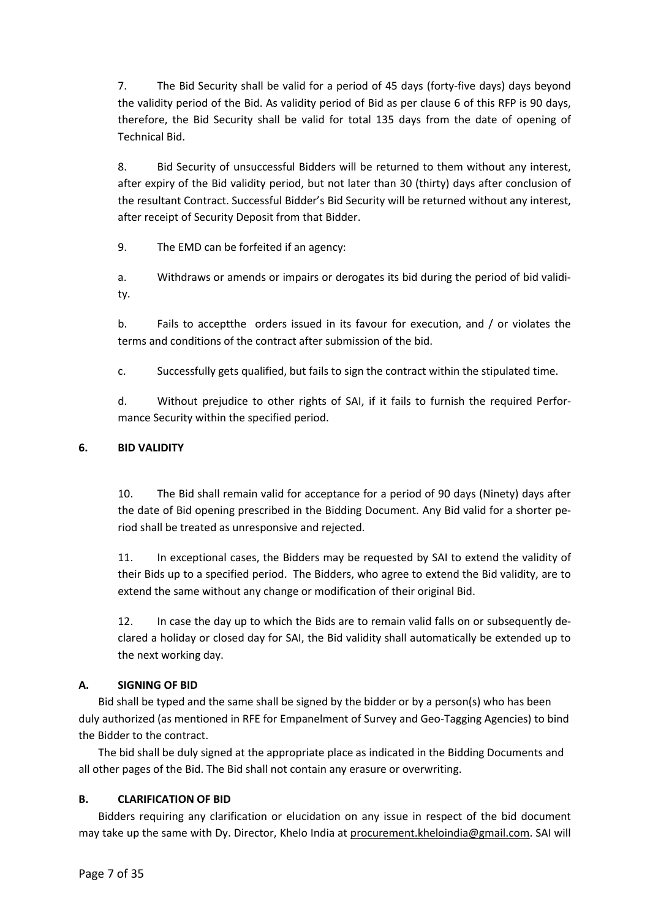7. The Bid Security shall be valid for a period of 45 days (forty-five days) days beyond the validity period of the Bid. As validity period of Bid as per clause 6 of this RFP is 90 days, therefore, the Bid Security shall be valid for total 135 days from the date of opening of Technical Bid.

8. Bid Security of unsuccessful Bidders will be returned to them without any interest, after expiry of the Bid validity period, but not later than 30 (thirty) days after conclusion of the resultant Contract. Successful Bidder's Bid Security will be returned without any interest, after receipt of Security Deposit from that Bidder.

9. The EMD can be forfeited if an agency:

a. Withdraws or amends or impairs or derogates its bid during the period of bid validity.

b. Fails to acceptthe orders issued in its favour for execution, and / or violates the terms and conditions of the contract after submission of the bid.

c. Successfully gets qualified, but fails to sign the contract within the stipulated time.

d. Without prejudice to other rights of SAI, if it fails to furnish the required Performance Security within the specified period.

# 6. BID VALIDITY

10. The Bid shall remain valid for acceptance for a period of 90 days (Ninety) days after the date of Bid opening prescribed in the Bidding Document. Any Bid valid for a shorter period shall be treated as unresponsive and rejected.

11. In exceptional cases, the Bidders may be requested by SAI to extend the validity of their Bids up to a specified period. The Bidders, who agree to extend the Bid validity, are to extend the same without any change or modification of their original Bid.

12. In case the day up to which the Bids are to remain valid falls on or subsequently declared a holiday or closed day for SAI, the Bid validity shall automatically be extended up to the next working day.

# A. SIGNING OF BID

Bid shall be typed and the same shall be signed by the bidder or by a person(s) who has been duly authorized (as mentioned in RFE for Empanelment of Survey and Geo-Tagging Agencies) to bind the Bidder to the contract.

The bid shall be duly signed at the appropriate place as indicated in the Bidding Documents and all other pages of the Bid. The Bid shall not contain any erasure or overwriting.

# B. CLARIFICATION OF BID

Bidders requiring any clarification or elucidation on any issue in respect of the bid document may take up the same with Dy. Director, Khelo India at procurement.kheloindia@gmail.com. SAI will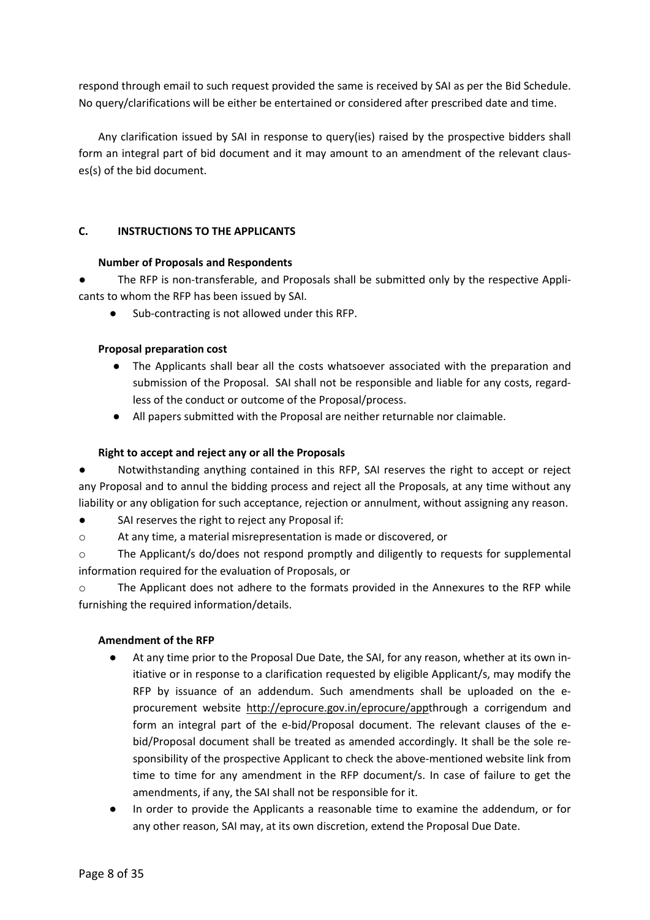respond through email to such request provided the same is received by SAI as per the Bid Schedule. No query/clarifications will be either be entertained or considered after prescribed date and time.

Any clarification issued by SAI in response to query(ies) raised by the prospective bidders shall form an integral part of bid document and it may amount to an amendment of the relevant clauses(s) of the bid document.

#### C. INSTRUCTIONS TO THE APPLICANTS

#### Number of Proposals and Respondents

The RFP is non-transferable, and Proposals shall be submitted only by the respective Applicants to whom the RFP has been issued by SAI.

● Sub-contracting is not allowed under this RFP.

# Proposal preparation cost

- The Applicants shall bear all the costs whatsoever associated with the preparation and submission of the Proposal. SAI shall not be responsible and liable for any costs, regardless of the conduct or outcome of the Proposal/process.
- All papers submitted with the Proposal are neither returnable nor claimable.

#### Right to accept and reject any or all the Proposals

Notwithstanding anything contained in this RFP, SAI reserves the right to accept or reject any Proposal and to annul the bidding process and reject all the Proposals, at any time without any liability or any obligation for such acceptance, rejection or annulment, without assigning any reason.

- SAI reserves the right to reject any Proposal if:
- o At any time, a material misrepresentation is made or discovered, or

o The Applicant/s do/does not respond promptly and diligently to requests for supplemental information required for the evaluation of Proposals, or

o The Applicant does not adhere to the formats provided in the Annexures to the RFP while furnishing the required information/details.

# Amendment of the RFP

- At any time prior to the Proposal Due Date, the SAI, for any reason, whether at its own initiative or in response to a clarification requested by eligible Applicant/s, may modify the RFP by issuance of an addendum. Such amendments shall be uploaded on the eprocurement website http://eprocure.gov.in/eprocure/appthrough a corrigendum and form an integral part of the e-bid/Proposal document. The relevant clauses of the ebid/Proposal document shall be treated as amended accordingly. It shall be the sole responsibility of the prospective Applicant to check the above-mentioned website link from time to time for any amendment in the RFP document/s. In case of failure to get the amendments, if any, the SAI shall not be responsible for it.
- In order to provide the Applicants a reasonable time to examine the addendum, or for any other reason, SAI may, at its own discretion, extend the Proposal Due Date.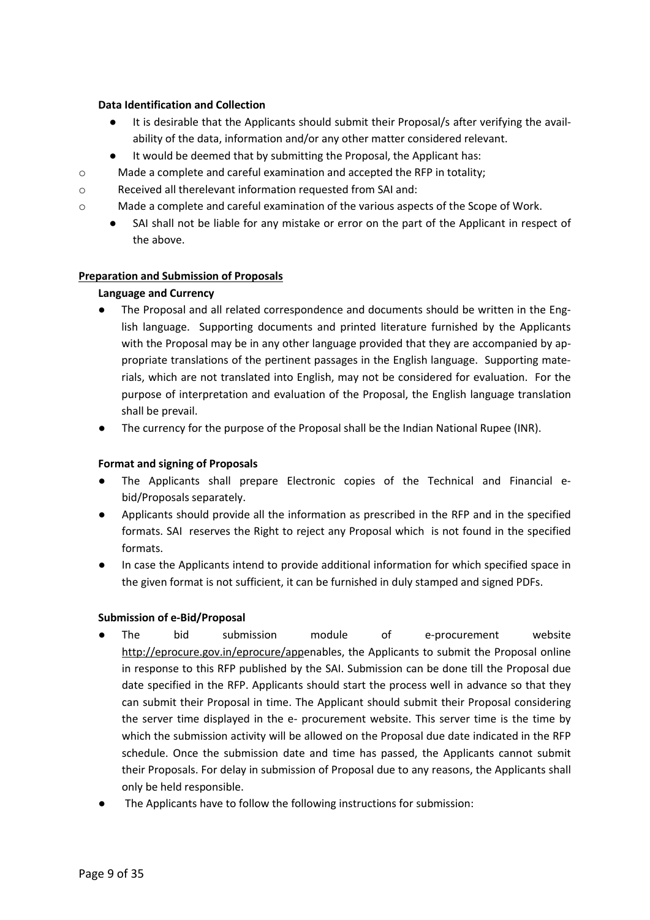#### Data Identification and Collection

- It is desirable that the Applicants should submit their Proposal/s after verifying the availability of the data, information and/or any other matter considered relevant.
- It would be deemed that by submitting the Proposal, the Applicant has:
- o Made a complete and careful examination and accepted the RFP in totality;
- o Received all therelevant information requested from SAI and:
- o Made a complete and careful examination of the various aspects of the Scope of Work.
	- SAI shall not be liable for any mistake or error on the part of the Applicant in respect of the above.

# Preparation and Submission of Proposals

# Language and Currency

- The Proposal and all related correspondence and documents should be written in the English language. Supporting documents and printed literature furnished by the Applicants with the Proposal may be in any other language provided that they are accompanied by appropriate translations of the pertinent passages in the English language. Supporting materials, which are not translated into English, may not be considered for evaluation. For the purpose of interpretation and evaluation of the Proposal, the English language translation shall be prevail.
- The currency for the purpose of the Proposal shall be the Indian National Rupee (INR).

#### Format and signing of Proposals

- The Applicants shall prepare Electronic copies of the Technical and Financial ebid/Proposals separately.
- Applicants should provide all the information as prescribed in the RFP and in the specified formats. SAI reserves the Right to reject any Proposal which is not found in the specified formats.
- In case the Applicants intend to provide additional information for which specified space in the given format is not sufficient, it can be furnished in duly stamped and signed PDFs.

#### Submission of e-Bid/Proposal

- The bid submission module of e-procurement website http://eprocure.gov.in/eprocure/appenables, the Applicants to submit the Proposal online in response to this RFP published by the SAI. Submission can be done till the Proposal due date specified in the RFP. Applicants should start the process well in advance so that they can submit their Proposal in time. The Applicant should submit their Proposal considering the server time displayed in the e- procurement website. This server time is the time by which the submission activity will be allowed on the Proposal due date indicated in the RFP schedule. Once the submission date and time has passed, the Applicants cannot submit their Proposals. For delay in submission of Proposal due to any reasons, the Applicants shall only be held responsible.
- The Applicants have to follow the following instructions for submission: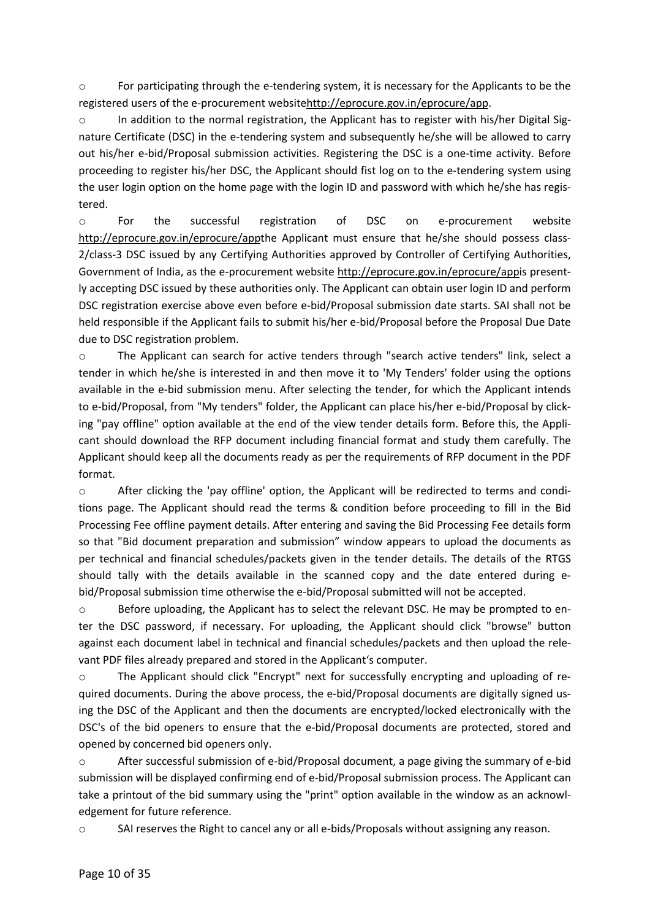o For participating through the e-tendering system, it is necessary for the Applicants to be the registered users of the e-procurement websitehttp://eprocure.gov.in/eprocure/app.

o In addition to the normal registration, the Applicant has to register with his/her Digital Signature Certificate (DSC) in the e-tendering system and subsequently he/she will be allowed to carry out his/her e-bid/Proposal submission activities. Registering the DSC is a one-time activity. Before proceeding to register his/her DSC, the Applicant should fist log on to the e-tendering system using the user login option on the home page with the login ID and password with which he/she has registered.

o For the successful registration of DSC on e-procurement website http://eprocure.gov.in/eprocure/appthe Applicant must ensure that he/she should possess class-2/class-3 DSC issued by any Certifying Authorities approved by Controller of Certifying Authorities, Government of India, as the e-procurement website http://eprocure.gov.in/eprocure/appis presently accepting DSC issued by these authorities only. The Applicant can obtain user login ID and perform DSC registration exercise above even before e-bid/Proposal submission date starts. SAI shall not be held responsible if the Applicant fails to submit his/her e-bid/Proposal before the Proposal Due Date due to DSC registration problem.

o The Applicant can search for active tenders through "search active tenders" link, select a tender in which he/she is interested in and then move it to 'My Tenders' folder using the options available in the e-bid submission menu. After selecting the tender, for which the Applicant intends to e-bid/Proposal, from "My tenders" folder, the Applicant can place his/her e-bid/Proposal by clicking "pay offline" option available at the end of the view tender details form. Before this, the Applicant should download the RFP document including financial format and study them carefully. The Applicant should keep all the documents ready as per the requirements of RFP document in the PDF format.

o After clicking the 'pay offline' option, the Applicant will be redirected to terms and conditions page. The Applicant should read the terms & condition before proceeding to fill in the Bid Processing Fee offline payment details. After entering and saving the Bid Processing Fee details form so that "Bid document preparation and submission" window appears to upload the documents as per technical and financial schedules/packets given in the tender details. The details of the RTGS should tally with the details available in the scanned copy and the date entered during ebid/Proposal submission time otherwise the e-bid/Proposal submitted will not be accepted.

o Before uploading, the Applicant has to select the relevant DSC. He may be prompted to enter the DSC password, if necessary. For uploading, the Applicant should click "browse" button against each document label in technical and financial schedules/packets and then upload the relevant PDF files already prepared and stored in the Applicant's computer.

o The Applicant should click "Encrypt" next for successfully encrypting and uploading of required documents. During the above process, the e-bid/Proposal documents are digitally signed using the DSC of the Applicant and then the documents are encrypted/locked electronically with the DSC's of the bid openers to ensure that the e-bid/Proposal documents are protected, stored and opened by concerned bid openers only.

o After successful submission of e-bid/Proposal document, a page giving the summary of e-bid submission will be displayed confirming end of e-bid/Proposal submission process. The Applicant can take a printout of the bid summary using the "print" option available in the window as an acknowledgement for future reference.

o SAI reserves the Right to cancel any or all e-bids/Proposals without assigning any reason.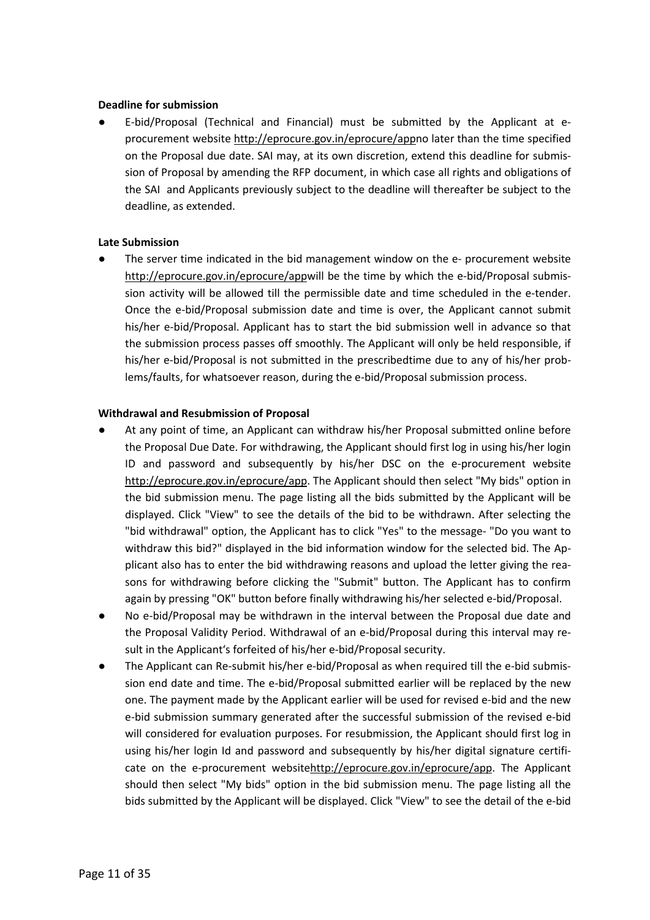#### Deadline for submission

E-bid/Proposal (Technical and Financial) must be submitted by the Applicant at eprocurement website http://eprocure.gov.in/eprocure/appno later than the time specified on the Proposal due date. SAI may, at its own discretion, extend this deadline for submission of Proposal by amending the RFP document, in which case all rights and obligations of the SAI and Applicants previously subject to the deadline will thereafter be subject to the deadline, as extended.

#### Late Submission

The server time indicated in the bid management window on the e- procurement website http://eprocure.gov.in/eprocure/appwill be the time by which the e-bid/Proposal submission activity will be allowed till the permissible date and time scheduled in the e-tender. Once the e-bid/Proposal submission date and time is over, the Applicant cannot submit his/her e-bid/Proposal. Applicant has to start the bid submission well in advance so that the submission process passes off smoothly. The Applicant will only be held responsible, if his/her e-bid/Proposal is not submitted in the prescribedtime due to any of his/her problems/faults, for whatsoever reason, during the e-bid/Proposal submission process.

#### Withdrawal and Resubmission of Proposal

- At any point of time, an Applicant can withdraw his/her Proposal submitted online before the Proposal Due Date. For withdrawing, the Applicant should first log in using his/her login ID and password and subsequently by his/her DSC on the e-procurement website http://eprocure.gov.in/eprocure/app. The Applicant should then select "My bids" option in the bid submission menu. The page listing all the bids submitted by the Applicant will be displayed. Click "View" to see the details of the bid to be withdrawn. After selecting the "bid withdrawal" option, the Applicant has to click "Yes" to the message- "Do you want to withdraw this bid?" displayed in the bid information window for the selected bid. The Applicant also has to enter the bid withdrawing reasons and upload the letter giving the reasons for withdrawing before clicking the "Submit" button. The Applicant has to confirm again by pressing "OK" button before finally withdrawing his/her selected e-bid/Proposal.
- No e-bid/Proposal may be withdrawn in the interval between the Proposal due date and the Proposal Validity Period. Withdrawal of an e-bid/Proposal during this interval may result in the Applicant's forfeited of his/her e-bid/Proposal security.
- The Applicant can Re-submit his/her e-bid/Proposal as when required till the e-bid submission end date and time. The e-bid/Proposal submitted earlier will be replaced by the new one. The payment made by the Applicant earlier will be used for revised e-bid and the new e-bid submission summary generated after the successful submission of the revised e-bid will considered for evaluation purposes. For resubmission, the Applicant should first log in using his/her login Id and password and subsequently by his/her digital signature certificate on the e-procurement websitehttp://eprocure.gov.in/eprocure/app. The Applicant should then select "My bids" option in the bid submission menu. The page listing all the bids submitted by the Applicant will be displayed. Click "View" to see the detail of the e-bid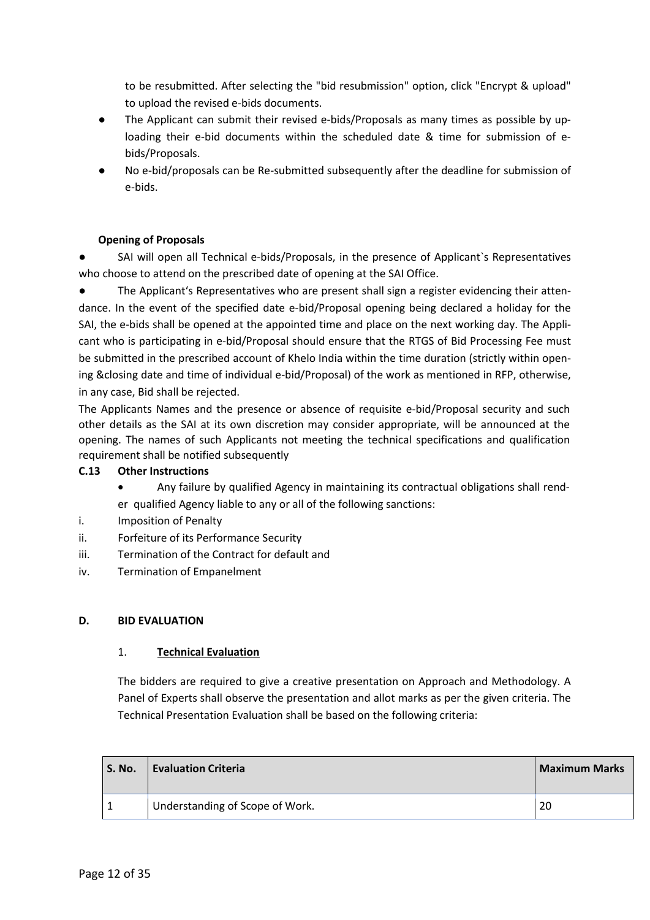to be resubmitted. After selecting the "bid resubmission" option, click "Encrypt & upload" to upload the revised e-bids documents.

- The Applicant can submit their revised e-bids/Proposals as many times as possible by uploading their e-bid documents within the scheduled date & time for submission of ebids/Proposals.
- No e-bid/proposals can be Re-submitted subsequently after the deadline for submission of e-bids.

# Opening of Proposals

SAI will open all Technical e-bids/Proposals, in the presence of Applicant's Representatives who choose to attend on the prescribed date of opening at the SAI Office.

The Applicant's Representatives who are present shall sign a register evidencing their attendance. In the event of the specified date e-bid/Proposal opening being declared a holiday for the SAI, the e-bids shall be opened at the appointed time and place on the next working day. The Applicant who is participating in e-bid/Proposal should ensure that the RTGS of Bid Processing Fee must be submitted in the prescribed account of Khelo India within the time duration (strictly within opening &closing date and time of individual e-bid/Proposal) of the work as mentioned in RFP, otherwise, in any case, Bid shall be rejected.

The Applicants Names and the presence or absence of requisite e-bid/Proposal security and such other details as the SAI at its own discretion may consider appropriate, will be announced at the opening. The names of such Applicants not meeting the technical specifications and qualification requirement shall be notified subsequently

# C.13 Other Instructions

- Any failure by qualified Agency in maintaining its contractual obligations shall render qualified Agency liable to any or all of the following sanctions:
- i. Imposition of Penalty
- ii. Forfeiture of its Performance Security
- iii. Termination of the Contract for default and
- iv. Termination of Empanelment

# D. BID EVALUATION

# 1. Technical Evaluation

The bidders are required to give a creative presentation on Approach and Methodology. A Panel of Experts shall observe the presentation and allot marks as per the given criteria. The Technical Presentation Evaluation shall be based on the following criteria:

| S. No. | <b>Evaluation Criteria</b>      | <b>Maximum Marks</b> |
|--------|---------------------------------|----------------------|
|        | Understanding of Scope of Work. | -20                  |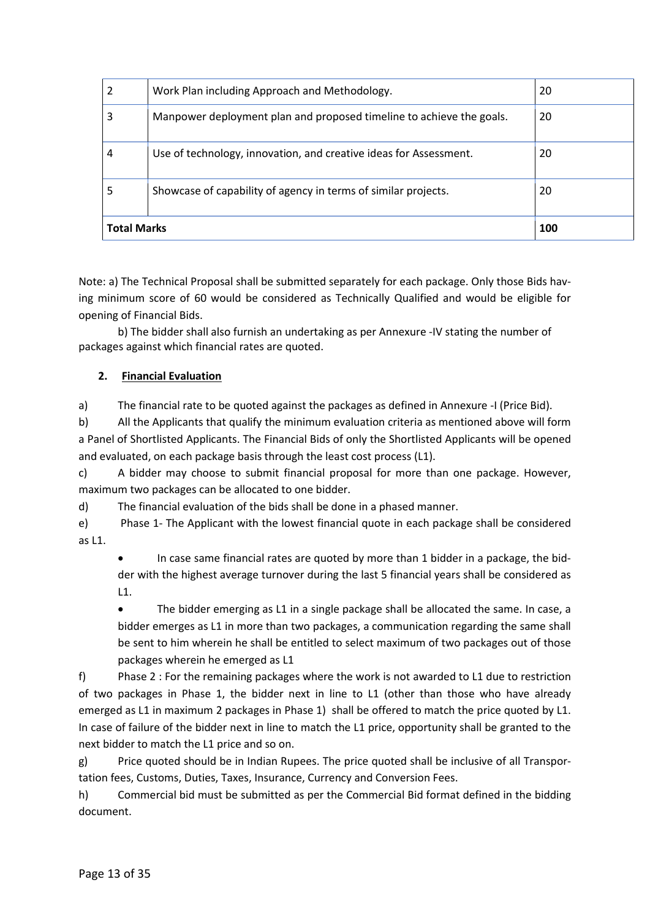| <b>Total Marks</b> | 100                                                                  |    |  |  |
|--------------------|----------------------------------------------------------------------|----|--|--|
| 5                  | Showcase of capability of agency in terms of similar projects.       |    |  |  |
| 4                  | Use of technology, innovation, and creative ideas for Assessment.    | 20 |  |  |
| 3                  | Manpower deployment plan and proposed timeline to achieve the goals. | 20 |  |  |
|                    | Work Plan including Approach and Methodology.                        | 20 |  |  |

Note: a) The Technical Proposal shall be submitted separately for each package. Only those Bids having minimum score of 60 would be considered as Technically Qualified and would be eligible for opening of Financial Bids.

b) The bidder shall also furnish an undertaking as per Annexure -IV stating the number of packages against which financial rates are quoted.

# 2. Financial Evaluation

a) The financial rate to be quoted against the packages as defined in Annexure -I (Price Bid).

b) All the Applicants that qualify the minimum evaluation criteria as mentioned above will form a Panel of Shortlisted Applicants. The Financial Bids of only the Shortlisted Applicants will be opened and evaluated, on each package basis through the least cost process (L1).

c) A bidder may choose to submit financial proposal for more than one package. However, maximum two packages can be allocated to one bidder.

d) The financial evaluation of the bids shall be done in a phased manner.

e) Phase 1- The Applicant with the lowest financial quote in each package shall be considered as L1.

 In case same financial rates are quoted by more than 1 bidder in a package, the bidder with the highest average turnover during the last 5 financial years shall be considered as L1.

 The bidder emerging as L1 in a single package shall be allocated the same. In case, a bidder emerges as L1 in more than two packages, a communication regarding the same shall be sent to him wherein he shall be entitled to select maximum of two packages out of those packages wherein he emerged as L1

f) Phase 2 : For the remaining packages where the work is not awarded to L1 due to restriction of two packages in Phase 1, the bidder next in line to L1 (other than those who have already emerged as L1 in maximum 2 packages in Phase 1) shall be offered to match the price quoted by L1. In case of failure of the bidder next in line to match the L1 price, opportunity shall be granted to the next bidder to match the L1 price and so on.

g) Price quoted should be in Indian Rupees. The price quoted shall be inclusive of all Transportation fees, Customs, Duties, Taxes, Insurance, Currency and Conversion Fees.

h) Commercial bid must be submitted as per the Commercial Bid format defined in the bidding document.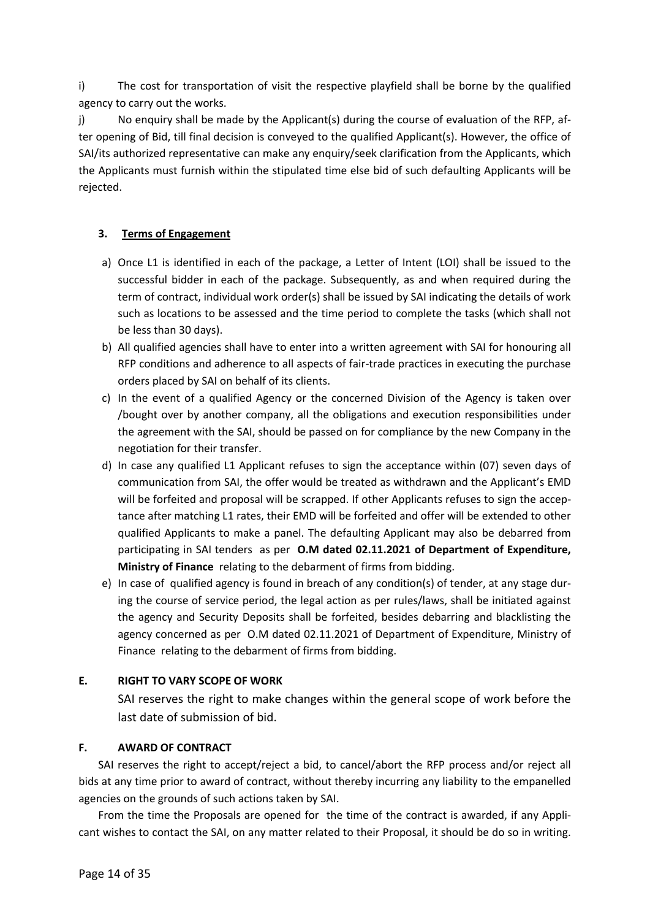i) The cost for transportation of visit the respective playfield shall be borne by the qualified agency to carry out the works.

j) No enquiry shall be made by the Applicant(s) during the course of evaluation of the RFP, after opening of Bid, till final decision is conveyed to the qualified Applicant(s). However, the office of SAI/its authorized representative can make any enquiry/seek clarification from the Applicants, which the Applicants must furnish within the stipulated time else bid of such defaulting Applicants will be rejected.

# 3. Terms of Engagement

- a) Once L1 is identified in each of the package, a Letter of Intent (LOI) shall be issued to the successful bidder in each of the package. Subsequently, as and when required during the term of contract, individual work order(s) shall be issued by SAI indicating the details of work such as locations to be assessed and the time period to complete the tasks (which shall not be less than 30 days).
- b) All qualified agencies shall have to enter into a written agreement with SAI for honouring all RFP conditions and adherence to all aspects of fair-trade practices in executing the purchase orders placed by SAI on behalf of its clients.
- c) In the event of a qualified Agency or the concerned Division of the Agency is taken over /bought over by another company, all the obligations and execution responsibilities under the agreement with the SAI, should be passed on for compliance by the new Company in the negotiation for their transfer.
- d) In case any qualified L1 Applicant refuses to sign the acceptance within (07) seven days of communication from SAI, the offer would be treated as withdrawn and the Applicant's EMD will be forfeited and proposal will be scrapped. If other Applicants refuses to sign the acceptance after matching L1 rates, their EMD will be forfeited and offer will be extended to other qualified Applicants to make a panel. The defaulting Applicant may also be debarred from participating in SAI tenders as per O.M dated 02.11.2021 of Department of Expenditure, Ministry of Finance relating to the debarment of firms from bidding.
- e) In case of qualified agency is found in breach of any condition(s) of tender, at any stage during the course of service period, the legal action as per rules/laws, shall be initiated against the agency and Security Deposits shall be forfeited, besides debarring and blacklisting the agency concerned as per O.M dated 02.11.2021 of Department of Expenditure, Ministry of Finance relating to the debarment of firms from bidding.

# E. RIGHT TO VARY SCOPE OF WORK

SAI reserves the right to make changes within the general scope of work before the last date of submission of bid.

# F. AWARD OF CONTRACT

SAI reserves the right to accept/reject a bid, to cancel/abort the RFP process and/or reject all bids at any time prior to award of contract, without thereby incurring any liability to the empanelled agencies on the grounds of such actions taken by SAI.

From the time the Proposals are opened for the time of the contract is awarded, if any Applicant wishes to contact the SAI, on any matter related to their Proposal, it should be do so in writing.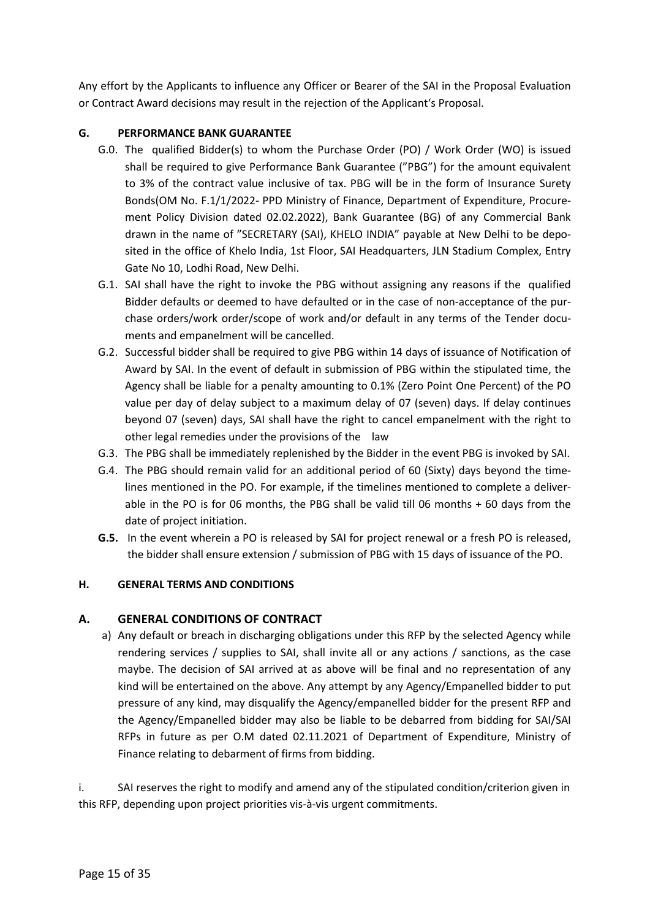Any effort by the Applicants to influence any Officer or Bearer of the SAI in the Proposal Evaluation or Contract Award decisions may result in the rejection of the Applicant's Proposal.

# G. PERFORMANCE BANK GUARANTEE

- G.0. The qualified Bidder(s) to whom the Purchase Order (PO) / Work Order (WO) is issued shall be required to give Performance Bank Guarantee ("PBG") for the amount equivalent to 3% of the contract value inclusive of tax. PBG will be in the form of Insurance Surety Bonds(OM No. F.1/1/2022- PPD Ministry of Finance, Department of Expenditure, Procurement Policy Division dated 02.02.2022), Bank Guarantee (BG) of any Commercial Bank drawn in the name of "SECRETARY (SAI), KHELO INDIA" payable at New Delhi to be deposited in the office of Khelo India, 1st Floor, SAI Headquarters, JLN Stadium Complex, Entry Gate No 10, Lodhi Road, New Delhi.
- G.1. SAI shall have the right to invoke the PBG without assigning any reasons if the qualified Bidder defaults or deemed to have defaulted or in the case of non-acceptance of the purchase orders/work order/scope of work and/or default in any terms of the Tender documents and empanelment will be cancelled.
- G.2. Successful bidder shall be required to give PBG within 14 days of issuance of Notification of Award by SAI. In the event of default in submission of PBG within the stipulated time, the Agency shall be liable for a penalty amounting to 0.1% (Zero Point One Percent) of the PO value per day of delay subject to a maximum delay of 07 (seven) days. If delay continues beyond 07 (seven) days, SAI shall have the right to cancel empanelment with the right to other legal remedies under the provisions of the law
- G.3. The PBG shall be immediately replenished by the Bidder in the event PBG is invoked by SAI.
- G.4. The PBG should remain valid for an additional period of 60 (Sixty) days beyond the timelines mentioned in the PO. For example, if the timelines mentioned to complete a deliverable in the PO is for 06 months, the PBG shall be valid till 06 months + 60 days from the date of project initiation.
- G.5. In the event wherein a PO is released by SAI for project renewal or a fresh PO is released, the bidder shall ensure extension / submission of PBG with 15 days of issuance of the PO.

# H. GENERAL TERMS AND CONDITIONS

# A. GENERAL CONDITIONS OF CONTRACT

a) Any default or breach in discharging obligations under this RFP by the selected Agency while rendering services / supplies to SAI, shall invite all or any actions / sanctions, as the case maybe. The decision of SAI arrived at as above will be final and no representation of any kind will be entertained on the above. Any attempt by any Agency/Empanelled bidder to put pressure of any kind, may disqualify the Agency/empanelled bidder for the present RFP and the Agency/Empanelled bidder may also be liable to be debarred from bidding for SAI/SAI RFPs in future as per O.M dated 02.11.2021 of Department of Expenditure, Ministry of Finance relating to debarment of firms from bidding.

i. SAI reserves the right to modify and amend any of the stipulated condition/criterion given in this RFP, depending upon project priorities vis-à-vis urgent commitments.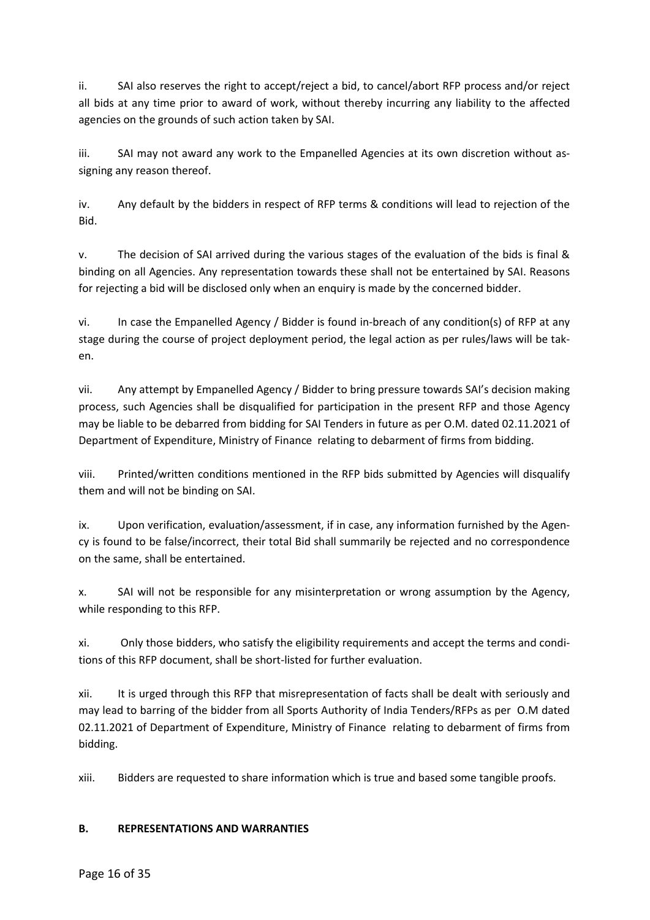ii. SAI also reserves the right to accept/reject a bid, to cancel/abort RFP process and/or reject all bids at any time prior to award of work, without thereby incurring any liability to the affected agencies on the grounds of such action taken by SAI.

iii. SAI may not award any work to the Empanelled Agencies at its own discretion without assigning any reason thereof.

iv. Any default by the bidders in respect of RFP terms & conditions will lead to rejection of the Bid.

v. The decision of SAI arrived during the various stages of the evaluation of the bids is final & binding on all Agencies. Any representation towards these shall not be entertained by SAI. Reasons for rejecting a bid will be disclosed only when an enquiry is made by the concerned bidder.

vi. In case the Empanelled Agency / Bidder is found in-breach of any condition(s) of RFP at any stage during the course of project deployment period, the legal action as per rules/laws will be taken.

vii. Any attempt by Empanelled Agency / Bidder to bring pressure towards SAI's decision making process, such Agencies shall be disqualified for participation in the present RFP and those Agency may be liable to be debarred from bidding for SAI Tenders in future as per O.M. dated 02.11.2021 of Department of Expenditure, Ministry of Finance relating to debarment of firms from bidding.

viii. Printed/written conditions mentioned in the RFP bids submitted by Agencies will disqualify them and will not be binding on SAI.

ix. Upon verification, evaluation/assessment, if in case, any information furnished by the Agency is found to be false/incorrect, their total Bid shall summarily be rejected and no correspondence on the same, shall be entertained.

x. SAI will not be responsible for any misinterpretation or wrong assumption by the Agency, while responding to this RFP.

xi. Only those bidders, who satisfy the eligibility requirements and accept the terms and conditions of this RFP document, shall be short-listed for further evaluation.

xii. It is urged through this RFP that misrepresentation of facts shall be dealt with seriously and may lead to barring of the bidder from all Sports Authority of India Tenders/RFPs as per O.M dated 02.11.2021 of Department of Expenditure, Ministry of Finance relating to debarment of firms from bidding.

xiii. Bidders are requested to share information which is true and based some tangible proofs.

#### B. REPRESENTATIONS AND WARRANTIES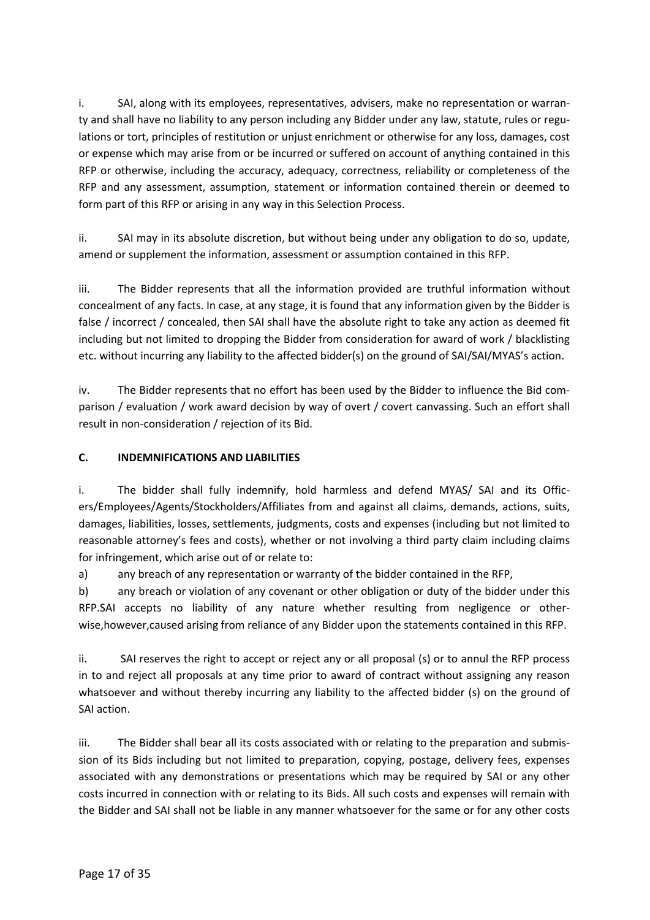i. SAI, along with its employees, representatives, advisers, make no representation or warranty and shall have no liability to any person including any Bidder under any law, statute, rules or regulations or tort, principles of restitution or unjust enrichment or otherwise for any loss, damages, cost or expense which may arise from or be incurred or suffered on account of anything contained in this RFP or otherwise, including the accuracy, adequacy, correctness, reliability or completeness of the RFP and any assessment, assumption, statement or information contained therein or deemed to form part of this RFP or arising in any way in this Selection Process.

ii. SAI may in its absolute discretion, but without being under any obligation to do so, update, amend or supplement the information, assessment or assumption contained in this RFP.

iii. The Bidder represents that all the information provided are truthful information without concealment of any facts. In case, at any stage, it is found that any information given by the Bidder is false / incorrect / concealed, then SAI shall have the absolute right to take any action as deemed fit including but not limited to dropping the Bidder from consideration for award of work / blacklisting etc. without incurring any liability to the affected bidder(s) on the ground of SAI/SAI/MYAS's action.

iv. The Bidder represents that no effort has been used by the Bidder to influence the Bid comparison / evaluation / work award decision by way of overt / covert canvassing. Such an effort shall result in non-consideration / rejection of its Bid.

# C. INDEMNIFICATIONS AND LIABILITIES

i. The bidder shall fully indemnify, hold harmless and defend MYAS/ SAI and its Officers/Employees/Agents/Stockholders/Affiliates from and against all claims, demands, actions, suits, damages, liabilities, losses, settlements, judgments, costs and expenses (including but not limited to reasonable attorney's fees and costs), whether or not involving a third party claim including claims for infringement, which arise out of or relate to:

a) any breach of any representation or warranty of the bidder contained in the RFP,

b) any breach or violation of any covenant or other obligation or duty of the bidder under this RFP.SAI accepts no liability of any nature whether resulting from negligence or otherwise,however,caused arising from reliance of any Bidder upon the statements contained in this RFP.

ii. SAI reserves the right to accept or reject any or all proposal (s) or to annul the RFP process in to and reject all proposals at any time prior to award of contract without assigning any reason whatsoever and without thereby incurring any liability to the affected bidder (s) on the ground of SAI action.

iii. The Bidder shall bear all its costs associated with or relating to the preparation and submission of its Bids including but not limited to preparation, copying, postage, delivery fees, expenses associated with any demonstrations or presentations which may be required by SAI or any other costs incurred in connection with or relating to its Bids. All such costs and expenses will remain with the Bidder and SAI shall not be liable in any manner whatsoever for the same or for any other costs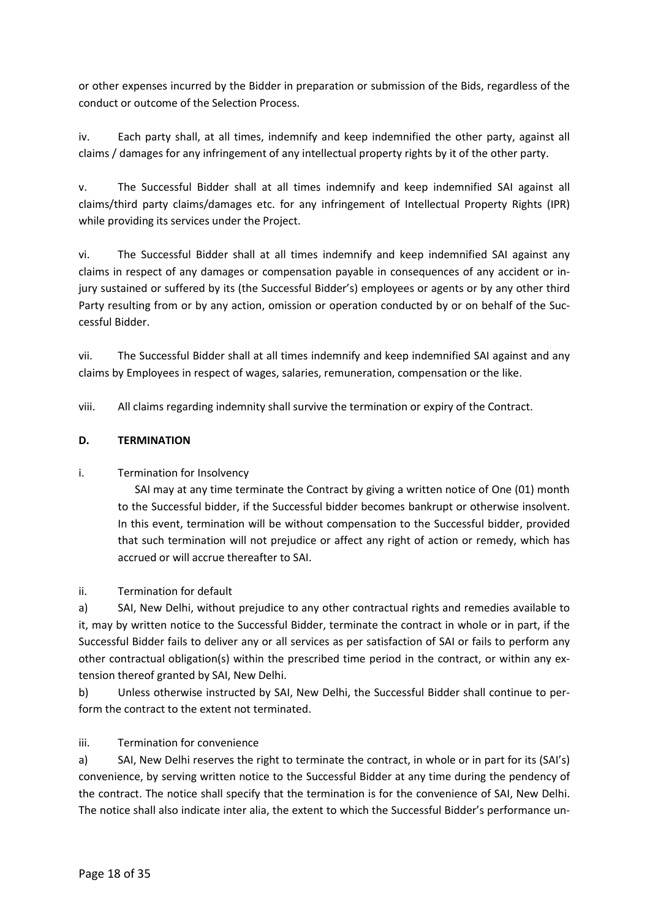or other expenses incurred by the Bidder in preparation or submission of the Bids, regardless of the conduct or outcome of the Selection Process.

iv. Each party shall, at all times, indemnify and keep indemnified the other party, against all claims / damages for any infringement of any intellectual property rights by it of the other party.

v. The Successful Bidder shall at all times indemnify and keep indemnified SAI against all claims/third party claims/damages etc. for any infringement of Intellectual Property Rights (IPR) while providing its services under the Project.

vi. The Successful Bidder shall at all times indemnify and keep indemnified SAI against any claims in respect of any damages or compensation payable in consequences of any accident or injury sustained or suffered by its (the Successful Bidder's) employees or agents or by any other third Party resulting from or by any action, omission or operation conducted by or on behalf of the Successful Bidder.

vii. The Successful Bidder shall at all times indemnify and keep indemnified SAI against and any claims by Employees in respect of wages, salaries, remuneration, compensation or the like.

viii. All claims regarding indemnity shall survive the termination or expiry of the Contract.

# D. TERMINATION

# i. Termination for Insolvency

SAI may at any time terminate the Contract by giving a written notice of One (01) month to the Successful bidder, if the Successful bidder becomes bankrupt or otherwise insolvent. In this event, termination will be without compensation to the Successful bidder, provided that such termination will not prejudice or affect any right of action or remedy, which has accrued or will accrue thereafter to SAI.

ii. Termination for default

a) SAI, New Delhi, without prejudice to any other contractual rights and remedies available to it, may by written notice to the Successful Bidder, terminate the contract in whole or in part, if the Successful Bidder fails to deliver any or all services as per satisfaction of SAI or fails to perform any other contractual obligation(s) within the prescribed time period in the contract, or within any extension thereof granted by SAI, New Delhi.

b) Unless otherwise instructed by SAI, New Delhi, the Successful Bidder shall continue to perform the contract to the extent not terminated.

# iii. Termination for convenience

a) SAI, New Delhi reserves the right to terminate the contract, in whole or in part for its (SAI's) convenience, by serving written notice to the Successful Bidder at any time during the pendency of the contract. The notice shall specify that the termination is for the convenience of SAI, New Delhi. The notice shall also indicate inter alia, the extent to which the Successful Bidder's performance un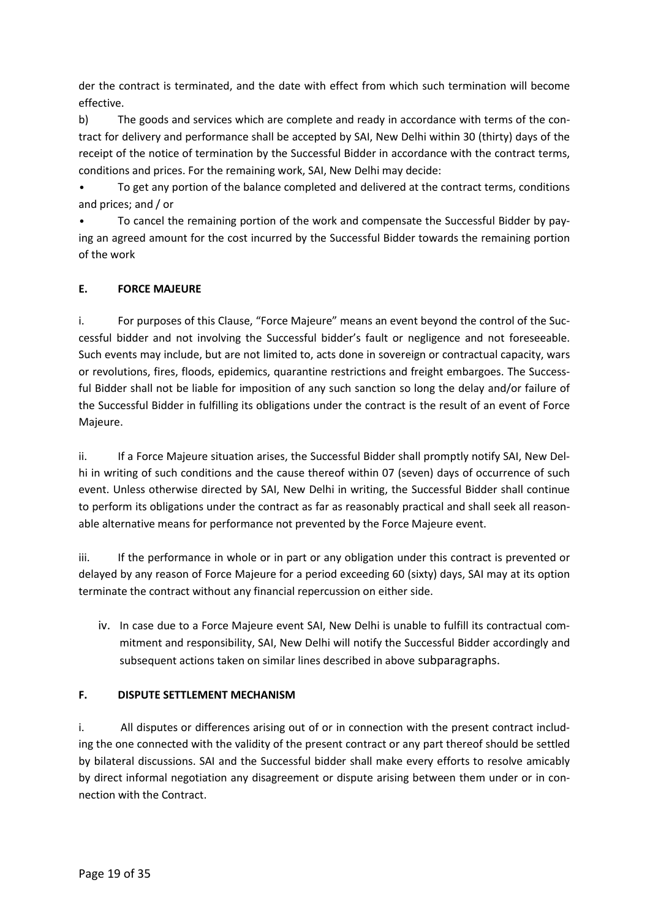der the contract is terminated, and the date with effect from which such termination will become effective.

b) The goods and services which are complete and ready in accordance with terms of the contract for delivery and performance shall be accepted by SAI, New Delhi within 30 (thirty) days of the receipt of the notice of termination by the Successful Bidder in accordance with the contract terms, conditions and prices. For the remaining work, SAI, New Delhi may decide:

• To get any portion of the balance completed and delivered at the contract terms, conditions and prices; and / or

• To cancel the remaining portion of the work and compensate the Successful Bidder by paying an agreed amount for the cost incurred by the Successful Bidder towards the remaining portion of the work

# E. FORCE MAJEURE

i. For purposes of this Clause, "Force Majeure" means an event beyond the control of the Successful bidder and not involving the Successful bidder's fault or negligence and not foreseeable. Such events may include, but are not limited to, acts done in sovereign or contractual capacity, wars or revolutions, fires, floods, epidemics, quarantine restrictions and freight embargoes. The Successful Bidder shall not be liable for imposition of any such sanction so long the delay and/or failure of the Successful Bidder in fulfilling its obligations under the contract is the result of an event of Force Majeure.

ii. If a Force Majeure situation arises, the Successful Bidder shall promptly notify SAI, New Delhi in writing of such conditions and the cause thereof within 07 (seven) days of occurrence of such event. Unless otherwise directed by SAI, New Delhi in writing, the Successful Bidder shall continue to perform its obligations under the contract as far as reasonably practical and shall seek all reasonable alternative means for performance not prevented by the Force Majeure event.

iii. If the performance in whole or in part or any obligation under this contract is prevented or delayed by any reason of Force Majeure for a period exceeding 60 (sixty) days, SAI may at its option terminate the contract without any financial repercussion on either side.

iv. In case due to a Force Majeure event SAI, New Delhi is unable to fulfill its contractual commitment and responsibility, SAI, New Delhi will notify the Successful Bidder accordingly and subsequent actions taken on similar lines described in above subparagraphs.

# F. DISPUTE SETTLEMENT MECHANISM

i. All disputes or differences arising out of or in connection with the present contract including the one connected with the validity of the present contract or any part thereof should be settled by bilateral discussions. SAI and the Successful bidder shall make every efforts to resolve amicably by direct informal negotiation any disagreement or dispute arising between them under or in connection with the Contract.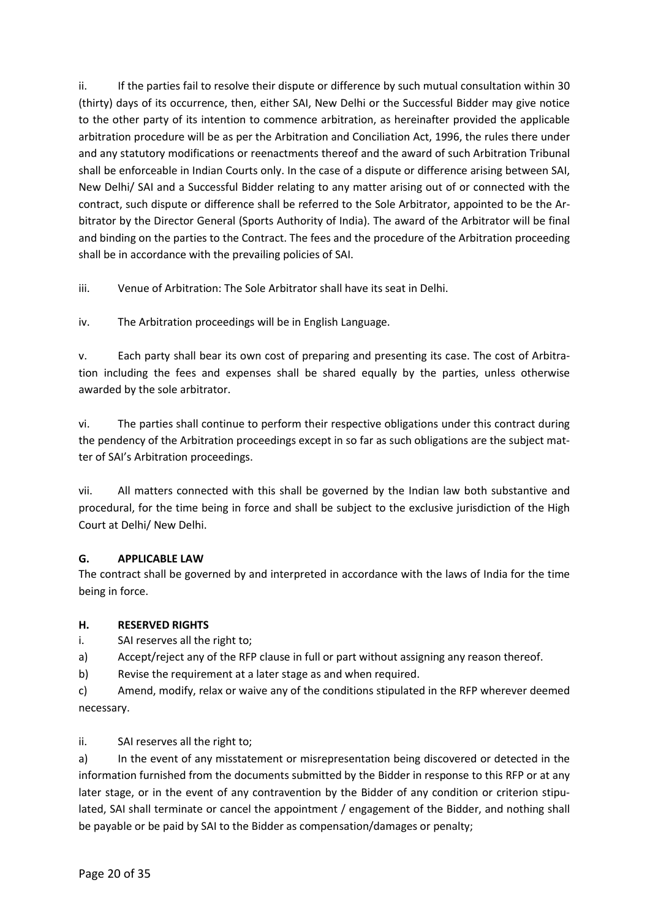ii. If the parties fail to resolve their dispute or difference by such mutual consultation within 30 (thirty) days of its occurrence, then, either SAI, New Delhi or the Successful Bidder may give notice to the other party of its intention to commence arbitration, as hereinafter provided the applicable arbitration procedure will be as per the Arbitration and Conciliation Act, 1996, the rules there under and any statutory modifications or reenactments thereof and the award of such Arbitration Tribunal shall be enforceable in Indian Courts only. In the case of a dispute or difference arising between SAI, New Delhi/ SAI and a Successful Bidder relating to any matter arising out of or connected with the contract, such dispute or difference shall be referred to the Sole Arbitrator, appointed to be the Arbitrator by the Director General (Sports Authority of India). The award of the Arbitrator will be final and binding on the parties to the Contract. The fees and the procedure of the Arbitration proceeding shall be in accordance with the prevailing policies of SAI.

iii. Venue of Arbitration: The Sole Arbitrator shall have its seat in Delhi.

iv. The Arbitration proceedings will be in English Language.

v. Each party shall bear its own cost of preparing and presenting its case. The cost of Arbitration including the fees and expenses shall be shared equally by the parties, unless otherwise awarded by the sole arbitrator.

vi. The parties shall continue to perform their respective obligations under this contract during the pendency of the Arbitration proceedings except in so far as such obligations are the subject matter of SAI's Arbitration proceedings.

vii. All matters connected with this shall be governed by the Indian law both substantive and procedural, for the time being in force and shall be subject to the exclusive jurisdiction of the High Court at Delhi/ New Delhi.

# G. APPLICABLE LAW

The contract shall be governed by and interpreted in accordance with the laws of India for the time being in force.

# H. RESERVED RIGHTS

i. SAI reserves all the right to;

- a) Accept/reject any of the RFP clause in full or part without assigning any reason thereof.
- b) Revise the requirement at a later stage as and when required.
- c) Amend, modify, relax or waive any of the conditions stipulated in the RFP wherever deemed necessary.

ii. SAI reserves all the right to;

a) In the event of any misstatement or misrepresentation being discovered or detected in the information furnished from the documents submitted by the Bidder in response to this RFP or at any later stage, or in the event of any contravention by the Bidder of any condition or criterion stipulated, SAI shall terminate or cancel the appointment / engagement of the Bidder, and nothing shall be payable or be paid by SAI to the Bidder as compensation/damages or penalty;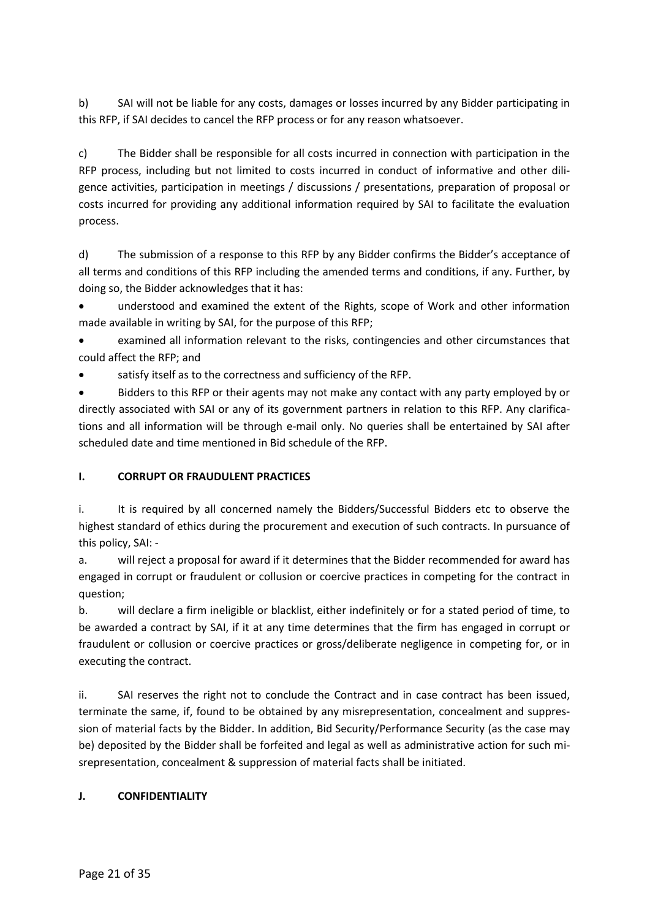b) SAI will not be liable for any costs, damages or losses incurred by any Bidder participating in this RFP, if SAI decides to cancel the RFP process or for any reason whatsoever.

c) The Bidder shall be responsible for all costs incurred in connection with participation in the RFP process, including but not limited to costs incurred in conduct of informative and other diligence activities, participation in meetings / discussions / presentations, preparation of proposal or costs incurred for providing any additional information required by SAI to facilitate the evaluation process.

d) The submission of a response to this RFP by any Bidder confirms the Bidder's acceptance of all terms and conditions of this RFP including the amended terms and conditions, if any. Further, by doing so, the Bidder acknowledges that it has:

 understood and examined the extent of the Rights, scope of Work and other information made available in writing by SAI, for the purpose of this RFP;

 examined all information relevant to the risks, contingencies and other circumstances that could affect the RFP; and

satisfy itself as to the correctness and sufficiency of the RFP.

 Bidders to this RFP or their agents may not make any contact with any party employed by or directly associated with SAI or any of its government partners in relation to this RFP. Any clarifications and all information will be through e-mail only. No queries shall be entertained by SAI after scheduled date and time mentioned in Bid schedule of the RFP.

# I. CORRUPT OR FRAUDULENT PRACTICES

i. It is required by all concerned namely the Bidders/Successful Bidders etc to observe the highest standard of ethics during the procurement and execution of such contracts. In pursuance of this policy, SAI: -

a. will reject a proposal for award if it determines that the Bidder recommended for award has engaged in corrupt or fraudulent or collusion or coercive practices in competing for the contract in question;

b. will declare a firm ineligible or blacklist, either indefinitely or for a stated period of time, to be awarded a contract by SAI, if it at any time determines that the firm has engaged in corrupt or fraudulent or collusion or coercive practices or gross/deliberate negligence in competing for, or in executing the contract.

ii. SAI reserves the right not to conclude the Contract and in case contract has been issued, terminate the same, if, found to be obtained by any misrepresentation, concealment and suppression of material facts by the Bidder. In addition, Bid Security/Performance Security (as the case may be) deposited by the Bidder shall be forfeited and legal as well as administrative action for such misrepresentation, concealment & suppression of material facts shall be initiated.

# J. CONFIDENTIALITY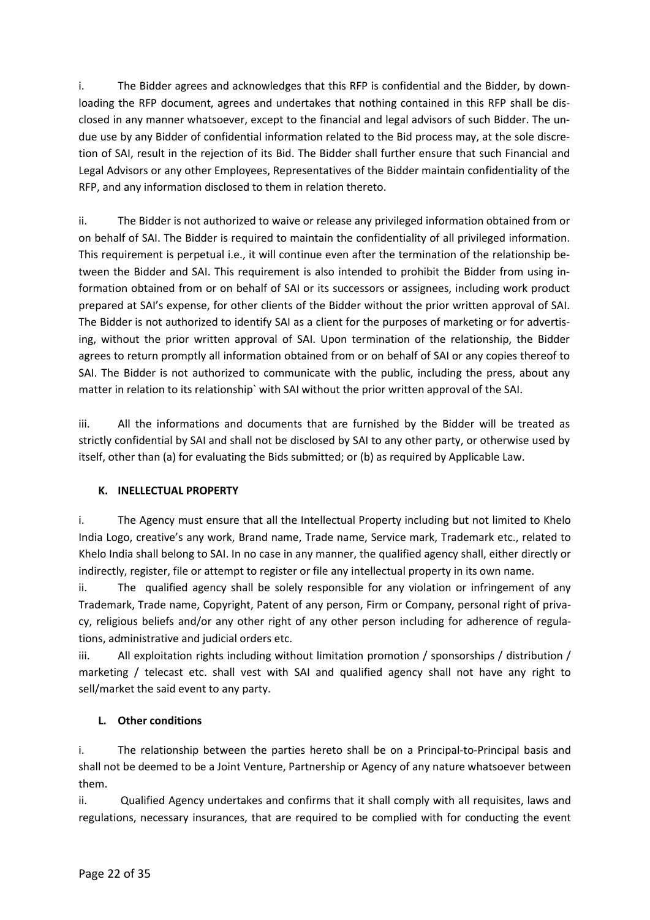i. The Bidder agrees and acknowledges that this RFP is confidential and the Bidder, by downloading the RFP document, agrees and undertakes that nothing contained in this RFP shall be disclosed in any manner whatsoever, except to the financial and legal advisors of such Bidder. The undue use by any Bidder of confidential information related to the Bid process may, at the sole discretion of SAI, result in the rejection of its Bid. The Bidder shall further ensure that such Financial and Legal Advisors or any other Employees, Representatives of the Bidder maintain confidentiality of the RFP, and any information disclosed to them in relation thereto.

ii. The Bidder is not authorized to waive or release any privileged information obtained from or on behalf of SAI. The Bidder is required to maintain the confidentiality of all privileged information. This requirement is perpetual i.e., it will continue even after the termination of the relationship between the Bidder and SAI. This requirement is also intended to prohibit the Bidder from using information obtained from or on behalf of SAI or its successors or assignees, including work product prepared at SAI's expense, for other clients of the Bidder without the prior written approval of SAI. The Bidder is not authorized to identify SAI as a client for the purposes of marketing or for advertising, without the prior written approval of SAI. Upon termination of the relationship, the Bidder agrees to return promptly all information obtained from or on behalf of SAI or any copies thereof to SAI. The Bidder is not authorized to communicate with the public, including the press, about any matter in relation to its relationship` with SAI without the prior written approval of the SAI.

iii. All the informations and documents that are furnished by the Bidder will be treated as strictly confidential by SAI and shall not be disclosed by SAI to any other party, or otherwise used by itself, other than (a) for evaluating the Bids submitted; or (b) as required by Applicable Law.

# K. INELLECTUAL PROPERTY

i. The Agency must ensure that all the Intellectual Property including but not limited to Khelo India Logo, creative's any work, Brand name, Trade name, Service mark, Trademark etc., related to Khelo India shall belong to SAI. In no case in any manner, the qualified agency shall, either directly or indirectly, register, file or attempt to register or file any intellectual property in its own name.

ii. The qualified agency shall be solely responsible for any violation or infringement of any Trademark, Trade name, Copyright, Patent of any person, Firm or Company, personal right of privacy, religious beliefs and/or any other right of any other person including for adherence of regulations, administrative and judicial orders etc.

iii. All exploitation rights including without limitation promotion / sponsorships / distribution / marketing / telecast etc. shall vest with SAI and qualified agency shall not have any right to sell/market the said event to any party.

# L. Other conditions

i. The relationship between the parties hereto shall be on a Principal-to-Principal basis and shall not be deemed to be a Joint Venture, Partnership or Agency of any nature whatsoever between them.

ii. Qualified Agency undertakes and confirms that it shall comply with all requisites, laws and regulations, necessary insurances, that are required to be complied with for conducting the event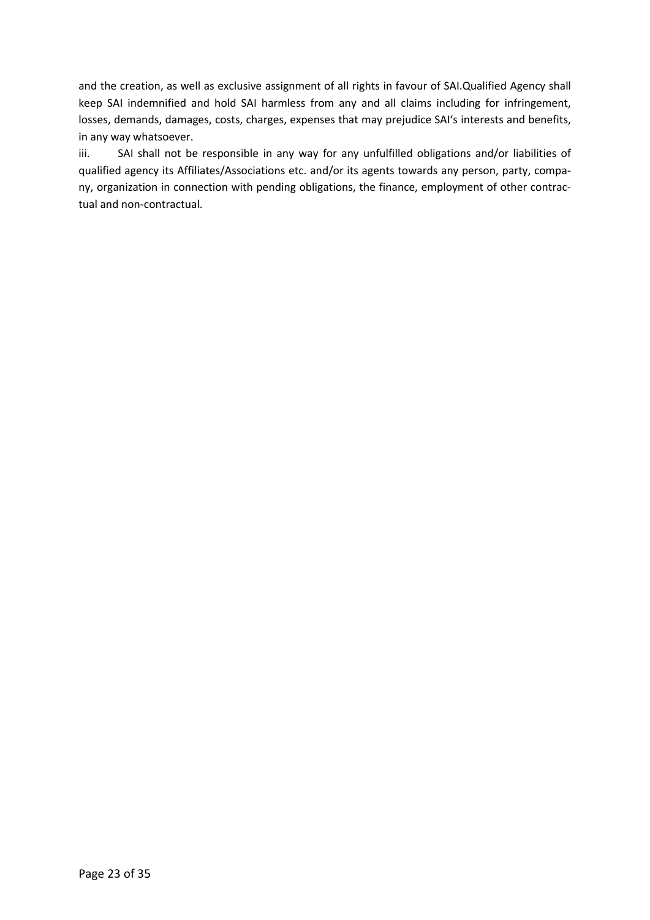and the creation, as well as exclusive assignment of all rights in favour of SAI.Qualified Agency shall keep SAI indemnified and hold SAI harmless from any and all claims including for infringement, losses, demands, damages, costs, charges, expenses that may prejudice SAI's interests and benefits, in any way whatsoever.

iii. SAI shall not be responsible in any way for any unfulfilled obligations and/or liabilities of qualified agency its Affiliates/Associations etc. and/or its agents towards any person, party, company, organization in connection with pending obligations, the finance, employment of other contractual and non-contractual.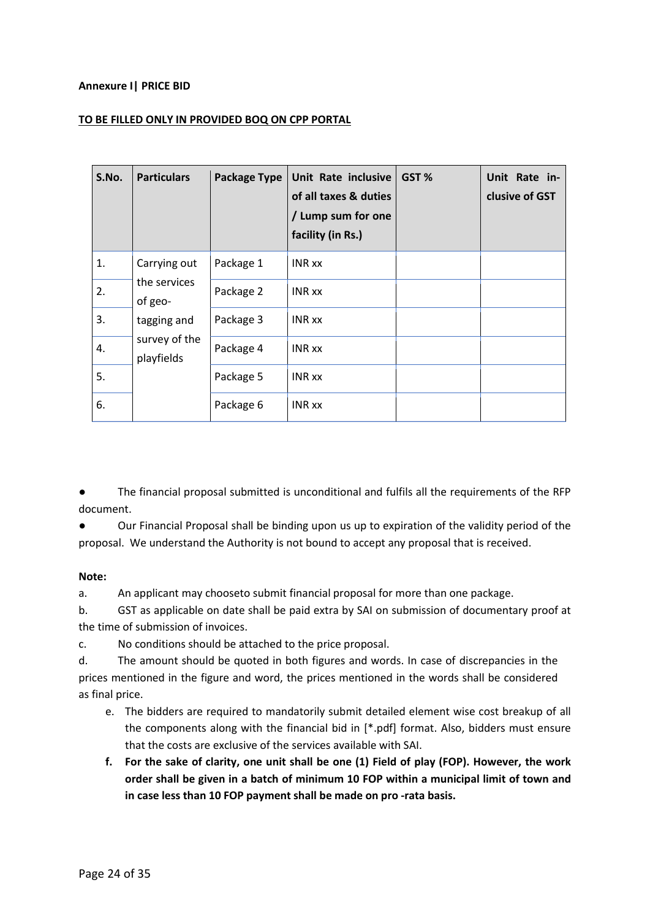#### Annexure I| PRICE BID

#### TO BE FILLED ONLY IN PROVIDED BOQ ON CPP PORTAL

| S.No. | <b>Particulars</b>                      | <b>Package Type</b> | Unit Rate inclusive<br>of all taxes & duties<br>/ Lump sum for one<br>facility (in Rs.) | GST % | Unit Rate in-<br>clusive of GST |
|-------|-----------------------------------------|---------------------|-----------------------------------------------------------------------------------------|-------|---------------------------------|
| 1.    | Carrying out<br>the services<br>of geo- | Package 1           | <b>INR</b> xx                                                                           |       |                                 |
| 2.    |                                         | Package 2           | <b>INR xx</b>                                                                           |       |                                 |
| 3.    | tagging and                             | Package 3           | <b>INR xx</b>                                                                           |       |                                 |
| 4.    | survey of the<br>playfields             | Package 4           | <b>INR xx</b>                                                                           |       |                                 |
| 5.    |                                         | Package 5           | <b>INR xx</b>                                                                           |       |                                 |
| 6.    |                                         | Package 6           | <b>INR xx</b>                                                                           |       |                                 |

The financial proposal submitted is unconditional and fulfils all the requirements of the RFP document.

● Our Financial Proposal shall be binding upon us up to expiration of the validity period of the proposal. We understand the Authority is not bound to accept any proposal that is received.

#### Note:

a. An applicant may chooseto submit financial proposal for more than one package.

b. GST as applicable on date shall be paid extra by SAI on submission of documentary proof at the time of submission of invoices.

c. No conditions should be attached to the price proposal.

d. The amount should be quoted in both figures and words. In case of discrepancies in the prices mentioned in the figure and word, the prices mentioned in the words shall be considered as final price.

- e. The bidders are required to mandatorily submit detailed element wise cost breakup of all the components along with the financial bid in [\*.pdf] format. Also, bidders must ensure that the costs are exclusive of the services available with SAI.
- f. For the sake of clarity, one unit shall be one (1) Field of play (FOP). However, the work order shall be given in a batch of minimum 10 FOP within a municipal limit of town and in case less than 10 FOP payment shall be made on pro -rata basis.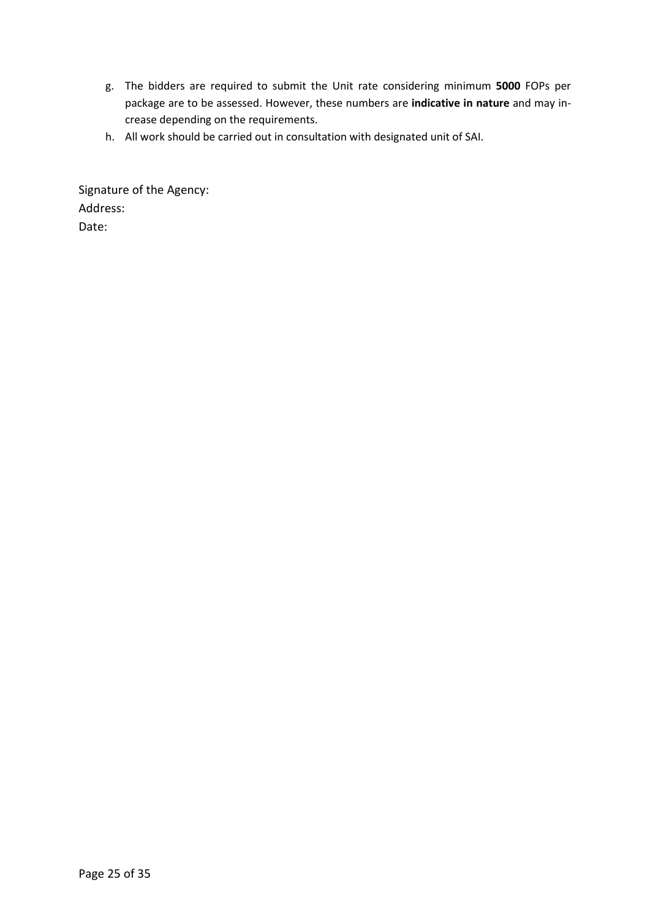- g. The bidders are required to submit the Unit rate considering minimum 5000 FOPs per package are to be assessed. However, these numbers are indicative in nature and may increase depending on the requirements.
- h. All work should be carried out in consultation with designated unit of SAI.

Signature of the Agency: Address: Date: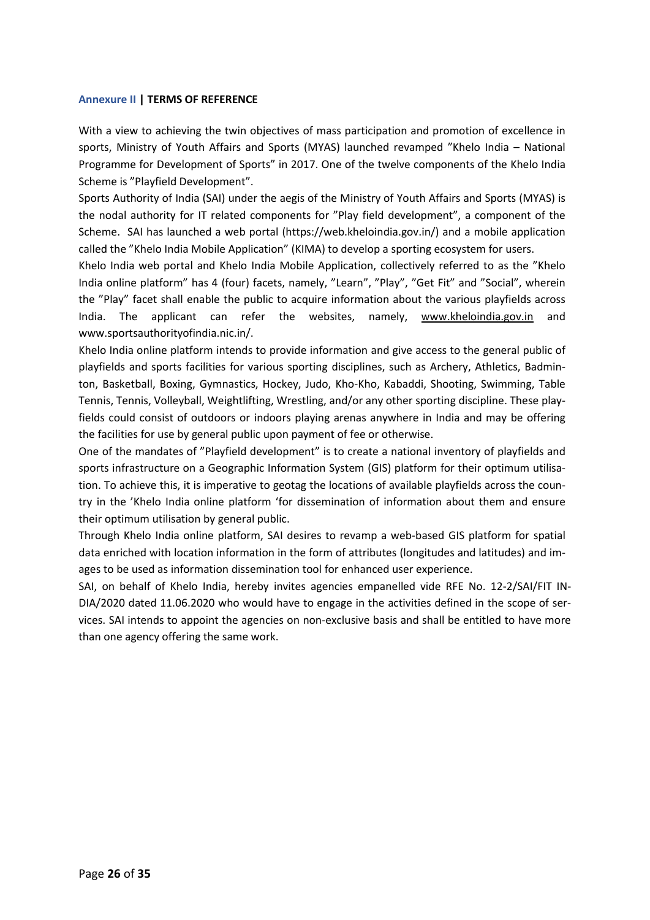#### Annexure II | TERMS OF REFERENCE

With a view to achieving the twin objectives of mass participation and promotion of excellence in sports, Ministry of Youth Affairs and Sports (MYAS) launched revamped "Khelo India – National Programme for Development of Sports" in 2017. One of the twelve components of the Khelo India Scheme is "Playfield Development".

Sports Authority of India (SAI) under the aegis of the Ministry of Youth Affairs and Sports (MYAS) is the nodal authority for IT related components for "Play field development", a component of the Scheme. SAI has launched a web portal (https://web.kheloindia.gov.in/) and a mobile application called the "Khelo India Mobile Application" (KIMA) to develop a sporting ecosystem for users.

Khelo India web portal and Khelo India Mobile Application, collectively referred to as the "Khelo India online platform" has 4 (four) facets, namely, "Learn", "Play", "Get Fit" and "Social", wherein the "Play" facet shall enable the public to acquire information about the various playfields across India. The applicant can refer the websites, namely, www.kheloindia.gov.in and www.sportsauthorityofindia.nic.in/.

Khelo India online platform intends to provide information and give access to the general public of playfields and sports facilities for various sporting disciplines, such as Archery, Athletics, Badminton, Basketball, Boxing, Gymnastics, Hockey, Judo, Kho-Kho, Kabaddi, Shooting, Swimming, Table Tennis, Tennis, Volleyball, Weightlifting, Wrestling, and/or any other sporting discipline. These playfields could consist of outdoors or indoors playing arenas anywhere in India and may be offering the facilities for use by general public upon payment of fee or otherwise.

One of the mandates of "Playfield development" is to create a national inventory of playfields and sports infrastructure on a Geographic Information System (GIS) platform for their optimum utilisation. To achieve this, it is imperative to geotag the locations of available playfields across the country in the 'Khelo India online platform 'for dissemination of information about them and ensure their optimum utilisation by general public.

Through Khelo India online platform, SAI desires to revamp a web-based GIS platform for spatial data enriched with location information in the form of attributes (longitudes and latitudes) and images to be used as information dissemination tool for enhanced user experience.

SAI, on behalf of Khelo India, hereby invites agencies empanelled vide RFE No. 12-2/SAI/FIT IN-DIA/2020 dated 11.06.2020 who would have to engage in the activities defined in the scope of services. SAI intends to appoint the agencies on non-exclusive basis and shall be entitled to have more than one agency offering the same work.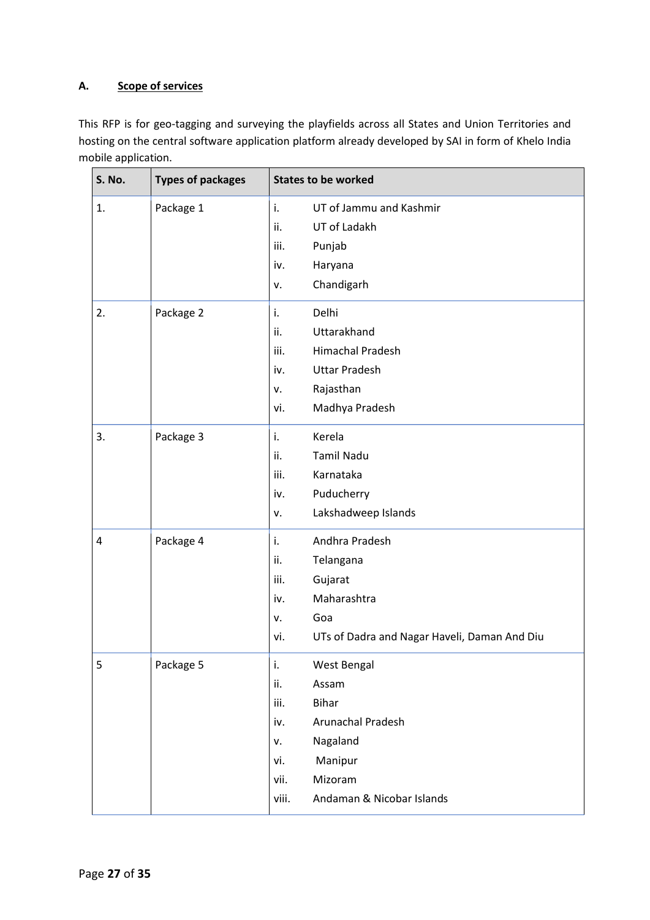# A. Scope of services

This RFP is for geo-tagging and surveying the playfields across all States and Union Territories and hosting on the central software application platform already developed by SAI in form of Khelo India mobile application.

| S. No. | <b>Types of packages</b> | <b>States to be worked</b>                          |  |  |
|--------|--------------------------|-----------------------------------------------------|--|--|
| 1.     | Package 1                | UT of Jammu and Kashmir<br>i.                       |  |  |
|        |                          | ii.<br>UT of Ladakh                                 |  |  |
|        |                          | iii.<br>Punjab                                      |  |  |
|        |                          | iv.<br>Haryana                                      |  |  |
|        |                          | Chandigarh<br>٧.                                    |  |  |
| 2.     | Package 2                | Delhi<br>i.                                         |  |  |
|        |                          | ii.<br>Uttarakhand                                  |  |  |
|        |                          | iii.<br><b>Himachal Pradesh</b>                     |  |  |
|        |                          | <b>Uttar Pradesh</b><br>iv.                         |  |  |
|        |                          | Rajasthan<br>٧.                                     |  |  |
|        |                          | Madhya Pradesh<br>vi.                               |  |  |
| 3.     | Package 3                | Kerela<br>i.                                        |  |  |
|        |                          | <b>Tamil Nadu</b><br>ii.                            |  |  |
|        |                          | iii.<br>Karnataka                                   |  |  |
|        |                          | Puducherry<br>iv.                                   |  |  |
|        |                          | Lakshadweep Islands<br>ν.                           |  |  |
| 4      | Package 4                | Andhra Pradesh<br>i.                                |  |  |
|        |                          | ii.<br>Telangana                                    |  |  |
|        |                          | iii.<br>Gujarat                                     |  |  |
|        |                          | Maharashtra<br>iv.                                  |  |  |
|        |                          | Goa<br>٧.                                           |  |  |
|        |                          | UTs of Dadra and Nagar Haveli, Daman And Diu<br>vi. |  |  |
| 5      | Package 5                | i.<br>West Bengal                                   |  |  |
|        |                          | ii.<br>Assam                                        |  |  |
|        |                          | <b>Bihar</b><br>iii.                                |  |  |
|        |                          | Arunachal Pradesh<br>iv.                            |  |  |
|        |                          | Nagaland<br>٧.                                      |  |  |
|        |                          | Manipur<br>vi.                                      |  |  |
|        |                          | Mizoram<br>vii.                                     |  |  |
|        |                          | Andaman & Nicobar Islands<br>viii.                  |  |  |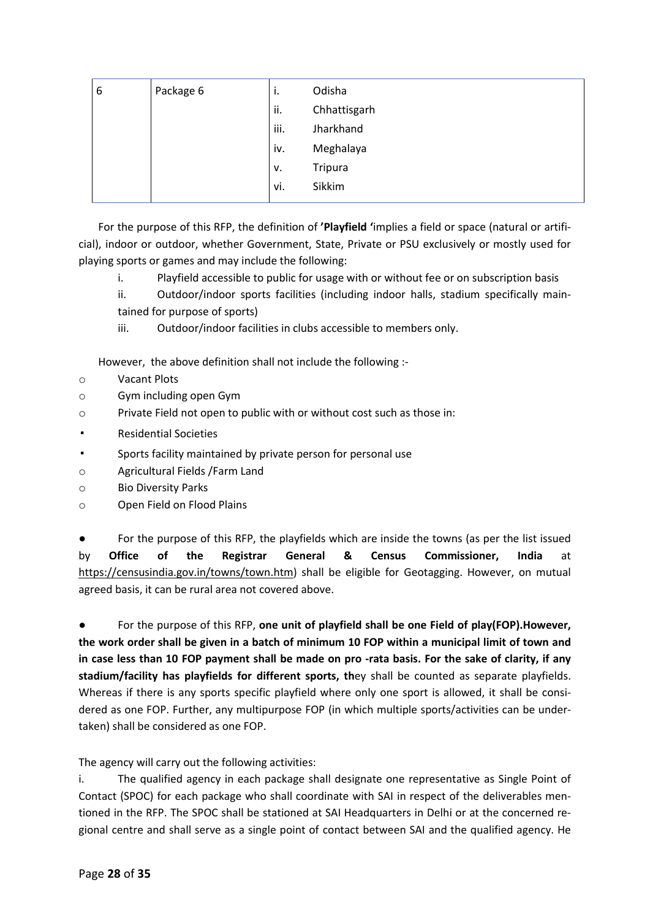| 6 | Package 6 | $\bullet$<br>ι. | Odisha         |
|---|-----------|-----------------|----------------|
|   |           | ii.             | Chhattisgarh   |
|   |           | iii.            | Jharkhand      |
|   |           | iv.             | Meghalaya      |
|   |           | v.              | <b>Tripura</b> |
|   |           | vi.             | Sikkim         |
|   |           |                 |                |

For the purpose of this RFP, the definition of 'Playfield 'implies a field or space (natural or artificial), indoor or outdoor, whether Government, State, Private or PSU exclusively or mostly used for playing sports or games and may include the following:

- i. Playfield accessible to public for usage with or without fee or on subscription basis
- ii. Outdoor/indoor sports facilities (including indoor halls, stadium specifically maintained for purpose of sports)
- iii. Outdoor/indoor facilities in clubs accessible to members only.

However, the above definition shall not include the following :-

- o Vacant Plots
- o Gym including open Gym
- o Private Field not open to public with or without cost such as those in:
- **Residential Societies**
- Sports facility maintained by private person for personal use
- o Agricultural Fields /Farm Land
- o Bio Diversity Parks
- o Open Field on Flood Plains

● For the purpose of this RFP, the playfields which are inside the towns (as per the list issued by Office of the Registrar General & Census Commissioner, India at https://censusindia.gov.in/towns/town.htm) shall be eligible for Geotagging. However, on mutual agreed basis, it can be rural area not covered above.

For the purpose of this RFP, one unit of playfield shall be one Field of play(FOP). However, the work order shall be given in a batch of minimum 10 FOP within a municipal limit of town and in case less than 10 FOP payment shall be made on pro -rata basis. For the sake of clarity, if any stadium/facility has playfields for different sports, they shall be counted as separate playfields. Whereas if there is any sports specific playfield where only one sport is allowed, it shall be considered as one FOP. Further, any multipurpose FOP (in which multiple sports/activities can be undertaken) shall be considered as one FOP.

The agency will carry out the following activities:

i. The qualified agency in each package shall designate one representative as Single Point of Contact (SPOC) for each package who shall coordinate with SAI in respect of the deliverables mentioned in the RFP. The SPOC shall be stationed at SAI Headquarters in Delhi or at the concerned regional centre and shall serve as a single point of contact between SAI and the qualified agency. He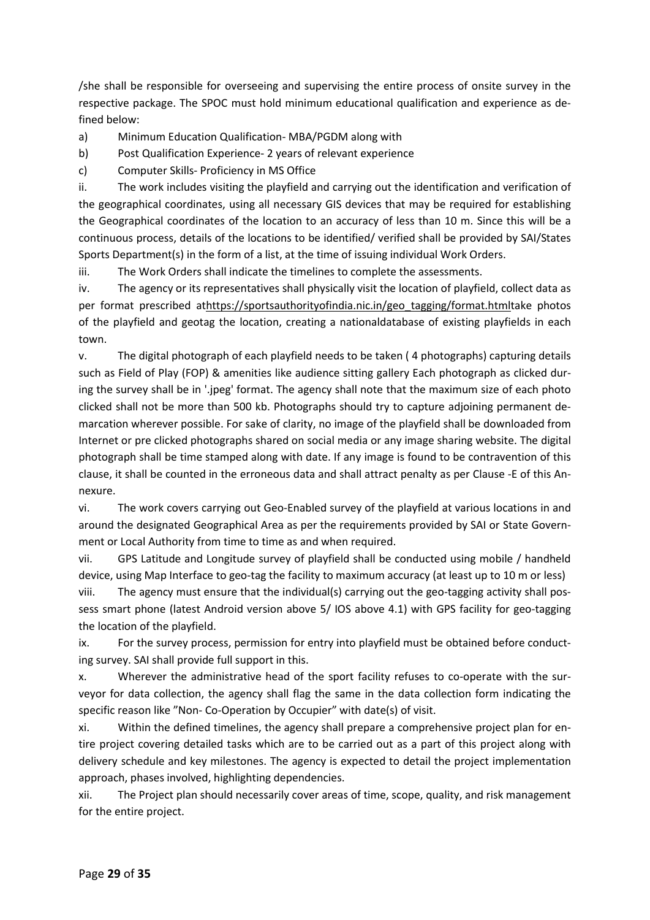/she shall be responsible for overseeing and supervising the entire process of onsite survey in the respective package. The SPOC must hold minimum educational qualification and experience as defined below:

a) Minimum Education Qualification- MBA/PGDM along with

b) Post Qualification Experience- 2 years of relevant experience

c) Computer Skills- Proficiency in MS Office

ii. The work includes visiting the playfield and carrying out the identification and verification of the geographical coordinates, using all necessary GIS devices that may be required for establishing the Geographical coordinates of the location to an accuracy of less than 10 m. Since this will be a continuous process, details of the locations to be identified/ verified shall be provided by SAI/States Sports Department(s) in the form of a list, at the time of issuing individual Work Orders.

iii. The Work Orders shall indicate the timelines to complete the assessments.

iv. The agency or its representatives shall physically visit the location of playfield, collect data as per format prescribed athttps://sportsauthorityofindia.nic.in/geo\_tagging/format.htmltake photos of the playfield and geotag the location, creating a nationaldatabase of existing playfields in each town.

v. The digital photograph of each playfield needs to be taken ( 4 photographs) capturing details such as Field of Play (FOP) & amenities like audience sitting gallery Each photograph as clicked during the survey shall be in '.jpeg' format. The agency shall note that the maximum size of each photo clicked shall not be more than 500 kb. Photographs should try to capture adjoining permanent demarcation wherever possible. For sake of clarity, no image of the playfield shall be downloaded from Internet or pre clicked photographs shared on social media or any image sharing website. The digital photograph shall be time stamped along with date. If any image is found to be contravention of this clause, it shall be counted in the erroneous data and shall attract penalty as per Clause -E of this Annexure.

vi. The work covers carrying out Geo-Enabled survey of the playfield at various locations in and around the designated Geographical Area as per the requirements provided by SAI or State Government or Local Authority from time to time as and when required.

vii. GPS Latitude and Longitude survey of playfield shall be conducted using mobile / handheld device, using Map Interface to geo-tag the facility to maximum accuracy (at least up to 10 m or less)

viii. The agency must ensure that the individual(s) carrying out the geo-tagging activity shall possess smart phone (latest Android version above 5/ IOS above 4.1) with GPS facility for geo-tagging the location of the playfield.

ix. For the survey process, permission for entry into playfield must be obtained before conducting survey. SAI shall provide full support in this.

x. Wherever the administrative head of the sport facility refuses to co-operate with the surveyor for data collection, the agency shall flag the same in the data collection form indicating the specific reason like "Non- Co-Operation by Occupier" with date(s) of visit.

xi. Within the defined timelines, the agency shall prepare a comprehensive project plan for entire project covering detailed tasks which are to be carried out as a part of this project along with delivery schedule and key milestones. The agency is expected to detail the project implementation approach, phases involved, highlighting dependencies.

xii. The Project plan should necessarily cover areas of time, scope, quality, and risk management for the entire project.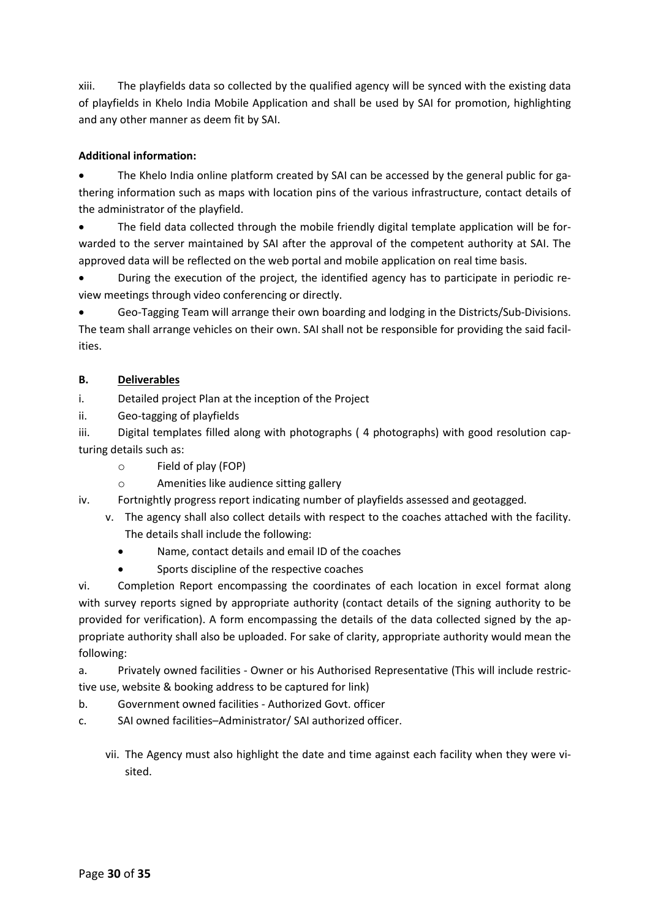xiii. The playfields data so collected by the qualified agency will be synced with the existing data of playfields in Khelo India Mobile Application and shall be used by SAI for promotion, highlighting and any other manner as deem fit by SAI.

# Additional information:

 The Khelo India online platform created by SAI can be accessed by the general public for gathering information such as maps with location pins of the various infrastructure, contact details of the administrator of the playfield.

 The field data collected through the mobile friendly digital template application will be forwarded to the server maintained by SAI after the approval of the competent authority at SAI. The approved data will be reflected on the web portal and mobile application on real time basis.

 During the execution of the project, the identified agency has to participate in periodic review meetings through video conferencing or directly.

 Geo-Tagging Team will arrange their own boarding and lodging in the Districts/Sub-Divisions. The team shall arrange vehicles on their own. SAI shall not be responsible for providing the said facilities.

# B. Deliverables

i. Detailed project Plan at the inception of the Project

ii. Geo-tagging of playfields

iii. Digital templates filled along with photographs ( 4 photographs) with good resolution capturing details such as:

- o Field of play (FOP)
- o Amenities like audience sitting gallery

iv. Fortnightly progress report indicating number of playfields assessed and geotagged.

- v. The agency shall also collect details with respect to the coaches attached with the facility. The details shall include the following:
	- Name, contact details and email ID of the coaches
	- Sports discipline of the respective coaches

vi. Completion Report encompassing the coordinates of each location in excel format along with survey reports signed by appropriate authority (contact details of the signing authority to be provided for verification). A form encompassing the details of the data collected signed by the appropriate authority shall also be uploaded. For sake of clarity, appropriate authority would mean the following:

a. Privately owned facilities - Owner or his Authorised Representative (This will include restrictive use, website & booking address to be captured for link)

- b. Government owned facilities Authorized Govt. officer
- c. SAI owned facilities–Administrator/ SAI authorized officer.
	- vii. The Agency must also highlight the date and time against each facility when they were visited.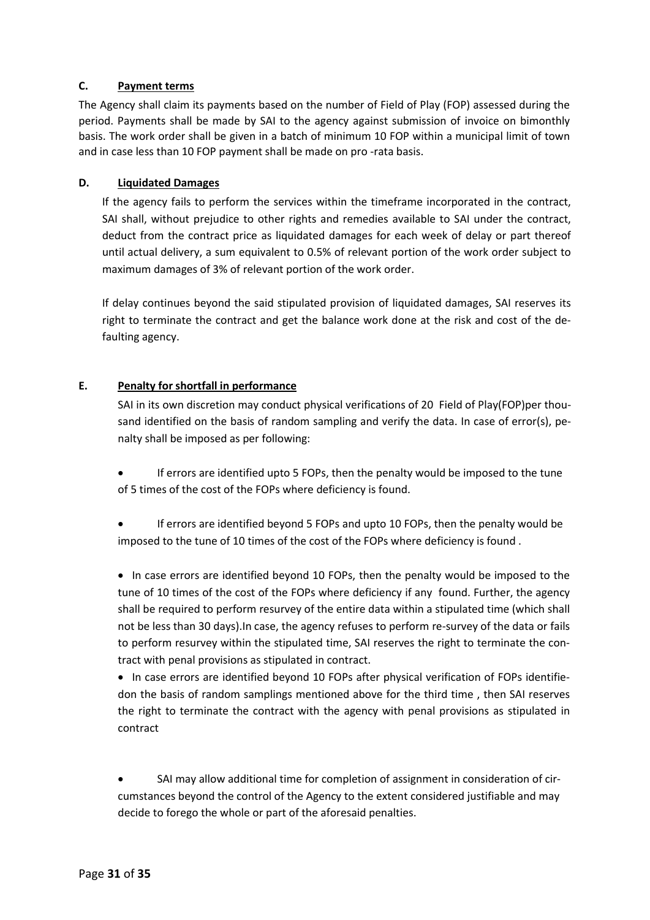#### C. Payment terms

The Agency shall claim its payments based on the number of Field of Play (FOP) assessed during the period. Payments shall be made by SAI to the agency against submission of invoice on bimonthly basis. The work order shall be given in a batch of minimum 10 FOP within a municipal limit of town and in case less than 10 FOP payment shall be made on pro -rata basis.

#### D. Liquidated Damages

If the agency fails to perform the services within the timeframe incorporated in the contract, SAI shall, without prejudice to other rights and remedies available to SAI under the contract, deduct from the contract price as liquidated damages for each week of delay or part thereof until actual delivery, a sum equivalent to 0.5% of relevant portion of the work order subject to maximum damages of 3% of relevant portion of the work order.

If delay continues beyond the said stipulated provision of liquidated damages, SAI reserves its right to terminate the contract and get the balance work done at the risk and cost of the defaulting agency.

#### E. Penalty for shortfall in performance

SAI in its own discretion may conduct physical verifications of 20 Field of Play(FOP)per thousand identified on the basis of random sampling and verify the data. In case of error(s), penalty shall be imposed as per following:

 If errors are identified upto 5 FOPs, then the penalty would be imposed to the tune of 5 times of the cost of the FOPs where deficiency is found.

 If errors are identified beyond 5 FOPs and upto 10 FOPs, then the penalty would be imposed to the tune of 10 times of the cost of the FOPs where deficiency is found .

• In case errors are identified beyond 10 FOPs, then the penalty would be imposed to the tune of 10 times of the cost of the FOPs where deficiency if any found. Further, the agency shall be required to perform resurvey of the entire data within a stipulated time (which shall not be less than 30 days).In case, the agency refuses to perform re-survey of the data or fails to perform resurvey within the stipulated time, SAI reserves the right to terminate the contract with penal provisions as stipulated in contract.

• In case errors are identified beyond 10 FOPs after physical verification of FOPs identifiedon the basis of random samplings mentioned above for the third time , then SAI reserves the right to terminate the contract with the agency with penal provisions as stipulated in contract

 SAI may allow additional time for completion of assignment in consideration of circumstances beyond the control of the Agency to the extent considered justifiable and may decide to forego the whole or part of the aforesaid penalties.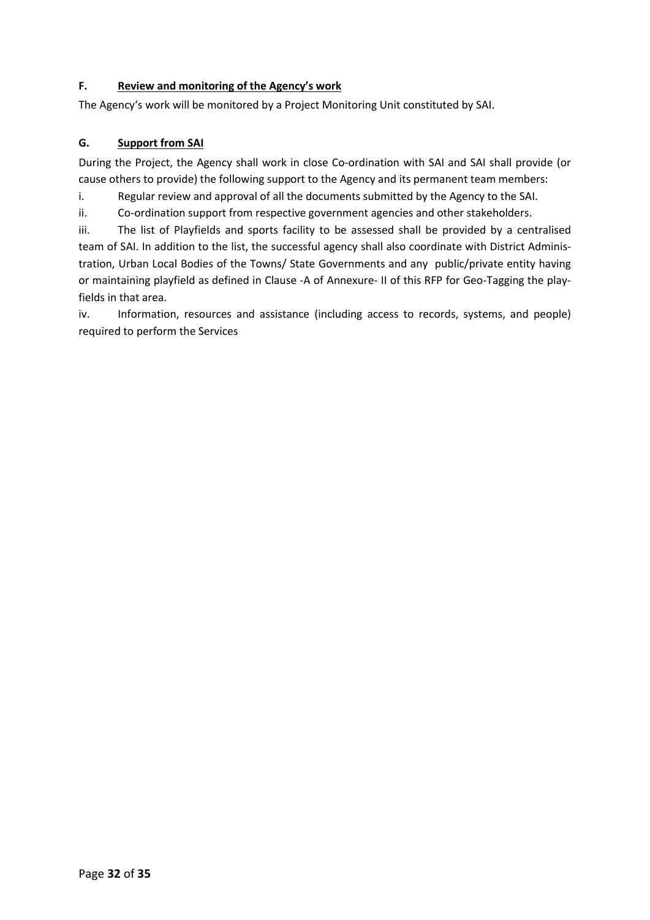# F. Review and monitoring of the Agency's work

The Agency's work will be monitored by a Project Monitoring Unit constituted by SAI.

# G. Support from SAI

During the Project, the Agency shall work in close Co-ordination with SAI and SAI shall provide (or cause others to provide) the following support to the Agency and its permanent team members:

i. Regular review and approval of all the documents submitted by the Agency to the SAI.

ii. Co-ordination support from respective government agencies and other stakeholders.

iii. The list of Playfields and sports facility to be assessed shall be provided by a centralised team of SAI. In addition to the list, the successful agency shall also coordinate with District Administration, Urban Local Bodies of the Towns/ State Governments and any public/private entity having or maintaining playfield as defined in Clause -A of Annexure- II of this RFP for Geo-Tagging the playfields in that area.

iv. Information, resources and assistance (including access to records, systems, and people) required to perform the Services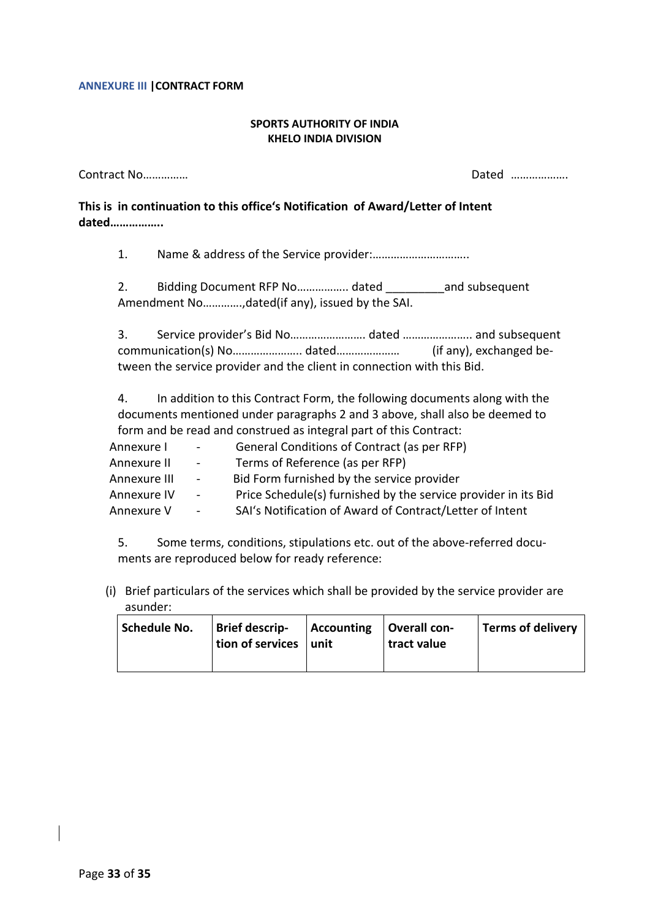#### ANNEXURE III |CONTRACT FORM

#### SPORTS AUTHORITY OF INDIA KHELO INDIA DIVISION

| Contract No | Dated                                                                                          |  |
|-------------|------------------------------------------------------------------------------------------------|--|
| dated       | This is in continuation to this office's Notification of Award/Letter of Intent                |  |
| 1.          |                                                                                                |  |
| 2.          | Bidding Document RFP No dated and subsequent<br>Amendment No,dated(if any), issued by the SAI. |  |

3. Service provider's Bid No……………………. dated ………………….. and subsequent communication(s) No………………….. dated………………… (if any), exchanged between the service provider and the client in connection with this Bid.

4. In addition to this Contract Form, the following documents along with the documents mentioned under paragraphs 2 and 3 above, shall also be deemed to form and be read and construed as integral part of this Contract:

| Annexure I   | $\sim 10^{-11}$ | General Conditions of Contract (as per RFP)                    |
|--------------|-----------------|----------------------------------------------------------------|
| Annexure II  | $\sim 100$      | Terms of Reference (as per RFP)                                |
| Annexure III | $\sim 100$      | Bid Form furnished by the service provider                     |
| Annexure IV  | $\sim 100$      | Price Schedule(s) furnished by the service provider in its Bid |
| Annexure V   |                 | SAI's Notification of Award of Contract/Letter of Intent       |

5. Some terms, conditions, stipulations etc. out of the above-referred documents are reproduced below for ready reference:

(i) Brief particulars of the services which shall be provided by the service provider are asunder:

| Schedule No. | Brief descrip-<br>tion of services   unit | $\vert$ Accounting $\vert$ Overall con- | tract value | Terms of delivery |
|--------------|-------------------------------------------|-----------------------------------------|-------------|-------------------|
|              |                                           |                                         |             |                   |

Page 33 of 35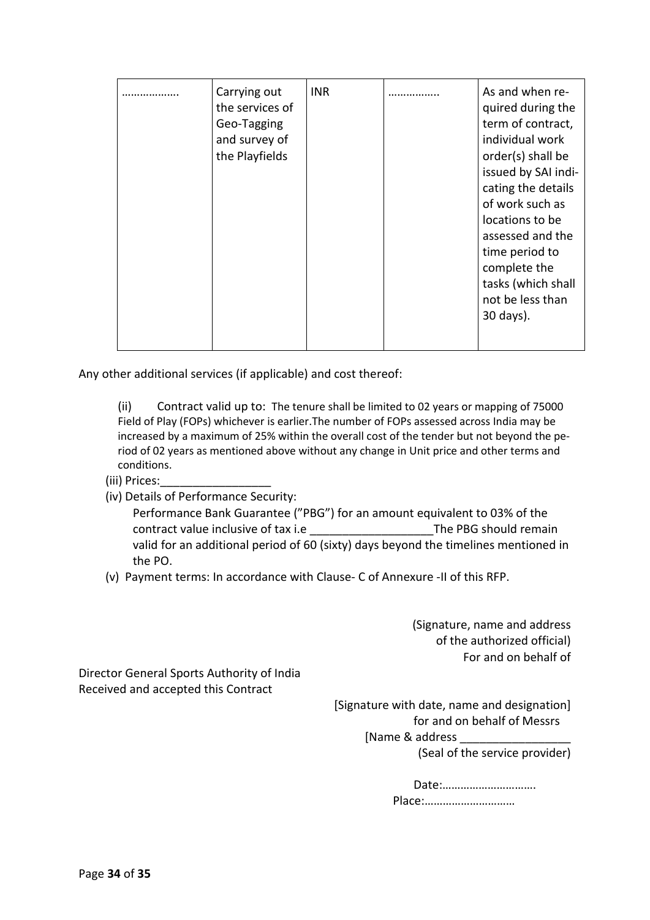|  | Carrying out<br>the services of<br>Geo-Tagging<br>and survey of<br>the Playfields | <b>INR</b> | As and when re-<br>quired during the<br>term of contract,<br>individual work<br>order(s) shall be<br>issued by SAI indi-<br>cating the details<br>of work such as<br>locations to be<br>assessed and the<br>time period to<br>complete the<br>tasks (which shall<br>not be less than<br>30 days). |
|--|-----------------------------------------------------------------------------------|------------|---------------------------------------------------------------------------------------------------------------------------------------------------------------------------------------------------------------------------------------------------------------------------------------------------|
|  |                                                                                   |            |                                                                                                                                                                                                                                                                                                   |

Any other additional services (if applicable) and cost thereof:

(ii) Contract valid up to: The tenure shall be limited to 02 years or mapping of 75000 Field of Play (FOPs) whichever is earlier.The number of FOPs assessed across India may be increased by a maximum of 25% within the overall cost of the tender but not beyond the period of 02 years as mentioned above without any change in Unit price and other terms and conditions.

# (iii) Prices:\_\_\_\_\_\_\_\_\_\_\_\_\_\_\_\_\_

- (iv) Details of Performance Security:
	- Performance Bank Guarantee ("PBG") for an amount equivalent to 03% of the contract value inclusive of tax i.e **Example 20 The PBG should remain** valid for an additional period of 60 (sixty) days beyond the timelines mentioned in the PO.
- (v) Payment terms: In accordance with Clause- C of Annexure -II of this RFP.

(Signature, name and address of the authorized official) For and on behalf of

Director General Sports Authority of India Received and accepted this Contract

> [Signature with date, name and designation] for and on behalf of Messrs [Name & address (Seal of the service provider)

> > Date:…………………………. Place:…………………………